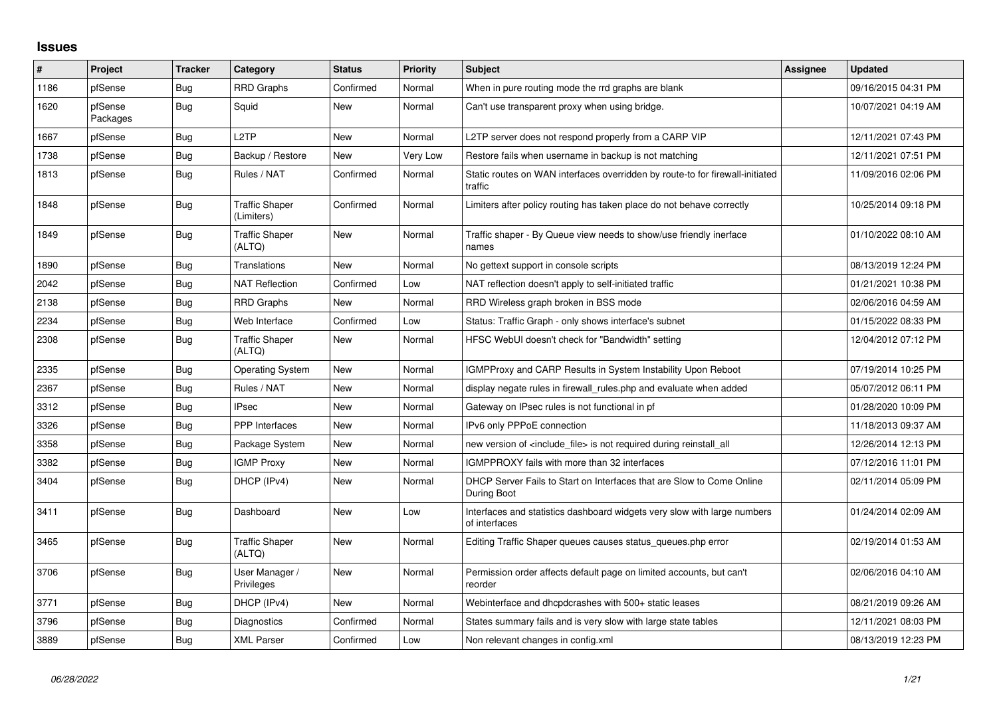## **Issues**

| ∦    | Project             | <b>Tracker</b> | Category                            | <b>Status</b> | <b>Priority</b> | <b>Subject</b>                                                                            | Assignee | <b>Updated</b>      |
|------|---------------------|----------------|-------------------------------------|---------------|-----------------|-------------------------------------------------------------------------------------------|----------|---------------------|
| 1186 | pfSense             | Bug            | <b>RRD Graphs</b>                   | Confirmed     | Normal          | When in pure routing mode the rrd graphs are blank                                        |          | 09/16/2015 04:31 PM |
| 1620 | pfSense<br>Packages | Bug            | Squid                               | New           | Normal          | Can't use transparent proxy when using bridge.                                            |          | 10/07/2021 04:19 AM |
| 1667 | pfSense             | Bug            | L <sub>2</sub> TP                   | <b>New</b>    | Normal          | L2TP server does not respond properly from a CARP VIP                                     |          | 12/11/2021 07:43 PM |
| 1738 | pfSense             | <b>Bug</b>     | Backup / Restore                    | New           | Very Low        | Restore fails when username in backup is not matching                                     |          | 12/11/2021 07:51 PM |
| 1813 | pfSense             | Bug            | Rules / NAT                         | Confirmed     | Normal          | Static routes on WAN interfaces overridden by route-to for firewall-initiated<br>traffic  |          | 11/09/2016 02:06 PM |
| 1848 | pfSense             | Bug            | <b>Traffic Shaper</b><br>(Limiters) | Confirmed     | Normal          | Limiters after policy routing has taken place do not behave correctly                     |          | 10/25/2014 09:18 PM |
| 1849 | pfSense             | <b>Bug</b>     | <b>Traffic Shaper</b><br>(ALTQ)     | <b>New</b>    | Normal          | Traffic shaper - By Queue view needs to show/use friendly inerface<br>names               |          | 01/10/2022 08:10 AM |
| 1890 | pfSense             | <b>Bug</b>     | Translations                        | New           | Normal          | No gettext support in console scripts                                                     |          | 08/13/2019 12:24 PM |
| 2042 | pfSense             | <b>Bug</b>     | <b>NAT Reflection</b>               | Confirmed     | Low             | NAT reflection doesn't apply to self-initiated traffic                                    |          | 01/21/2021 10:38 PM |
| 2138 | pfSense             | Bug            | <b>RRD Graphs</b>                   | <b>New</b>    | Normal          | RRD Wireless graph broken in BSS mode                                                     |          | 02/06/2016 04:59 AM |
| 2234 | pfSense             | Bug            | Web Interface                       | Confirmed     | Low             | Status: Traffic Graph - only shows interface's subnet                                     |          | 01/15/2022 08:33 PM |
| 2308 | pfSense             | <b>Bug</b>     | <b>Traffic Shaper</b><br>(ALTQ)     | New           | Normal          | HFSC WebUI doesn't check for "Bandwidth" setting                                          |          | 12/04/2012 07:12 PM |
| 2335 | pfSense             | Bug            | <b>Operating System</b>             | <b>New</b>    | Normal          | <b>IGMPProxy and CARP Results in System Instability Upon Reboot</b>                       |          | 07/19/2014 10:25 PM |
| 2367 | pfSense             | <b>Bug</b>     | Rules / NAT                         | New           | Normal          | display negate rules in firewall rules php and evaluate when added                        |          | 05/07/2012 06:11 PM |
| 3312 | pfSense             | <b>Bug</b>     | <b>IPsec</b>                        | New           | Normal          | Gateway on IPsec rules is not functional in pf                                            |          | 01/28/2020 10:09 PM |
| 3326 | pfSense             | <b>Bug</b>     | <b>PPP</b> Interfaces               | <b>New</b>    | Normal          | IPv6 only PPPoE connection                                                                |          | 11/18/2013 09:37 AM |
| 3358 | pfSense             | <b>Bug</b>     | Package System                      | <b>New</b>    | Normal          | new version of <include file=""> is not required during reinstall all</include>           |          | 12/26/2014 12:13 PM |
| 3382 | pfSense             | <b>Bug</b>     | <b>IGMP Proxy</b>                   | New           | Normal          | IGMPPROXY fails with more than 32 interfaces                                              |          | 07/12/2016 11:01 PM |
| 3404 | pfSense             | Bug            | DHCP (IPv4)                         | New           | Normal          | DHCP Server Fails to Start on Interfaces that are Slow to Come Online<br>During Boot      |          | 02/11/2014 05:09 PM |
| 3411 | pfSense             | <b>Bug</b>     | Dashboard                           | New           | Low             | Interfaces and statistics dashboard widgets very slow with large numbers<br>of interfaces |          | 01/24/2014 02:09 AM |
| 3465 | pfSense             | <b>Bug</b>     | <b>Traffic Shaper</b><br>(ALTQ)     | New           | Normal          | Editing Traffic Shaper queues causes status_queues.php error                              |          | 02/19/2014 01:53 AM |
| 3706 | pfSense             | <b>Bug</b>     | User Manager /<br>Privileges        | <b>New</b>    | Normal          | Permission order affects default page on limited accounts, but can't<br>reorder           |          | 02/06/2016 04:10 AM |
| 3771 | pfSense             | Bug            | DHCP (IPv4)                         | <b>New</b>    | Normal          | Webinterface and dhcpdcrashes with 500+ static leases                                     |          | 08/21/2019 09:26 AM |
| 3796 | pfSense             | <b>Bug</b>     | Diagnostics                         | Confirmed     | Normal          | States summary fails and is very slow with large state tables                             |          | 12/11/2021 08:03 PM |
| 3889 | pfSense             | <b>Bug</b>     | <b>XML Parser</b>                   | Confirmed     | Low             | Non relevant changes in config.xml                                                        |          | 08/13/2019 12:23 PM |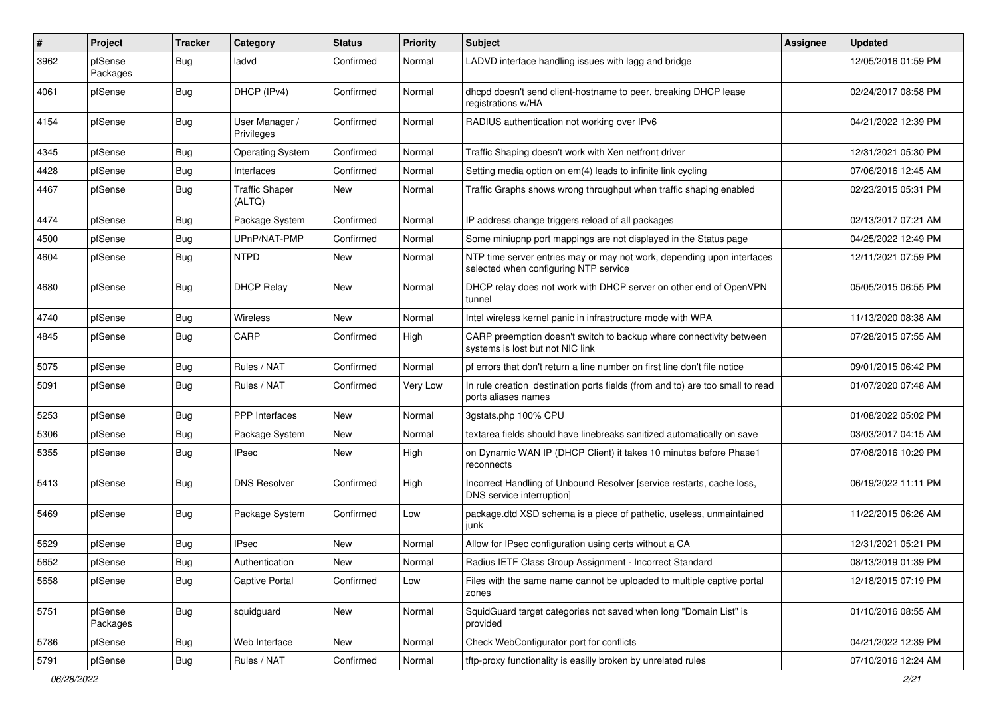| #    | Project             | <b>Tracker</b> | Category                        | <b>Status</b> | <b>Priority</b> | <b>Subject</b>                                                                                                  | <b>Assignee</b> | <b>Updated</b>      |
|------|---------------------|----------------|---------------------------------|---------------|-----------------|-----------------------------------------------------------------------------------------------------------------|-----------------|---------------------|
| 3962 | pfSense<br>Packages | Bug            | ladvd                           | Confirmed     | Normal          | LADVD interface handling issues with lagg and bridge                                                            |                 | 12/05/2016 01:59 PM |
| 4061 | pfSense             | Bug            | DHCP (IPv4)                     | Confirmed     | Normal          | dhcpd doesn't send client-hostname to peer, breaking DHCP lease<br>registrations w/HA                           |                 | 02/24/2017 08:58 PM |
| 4154 | pfSense             | <b>Bug</b>     | User Manager /<br>Privileges    | Confirmed     | Normal          | RADIUS authentication not working over IPv6                                                                     |                 | 04/21/2022 12:39 PM |
| 4345 | pfSense             | Bug            | <b>Operating System</b>         | Confirmed     | Normal          | Traffic Shaping doesn't work with Xen netfront driver                                                           |                 | 12/31/2021 05:30 PM |
| 4428 | pfSense             | <b>Bug</b>     | Interfaces                      | Confirmed     | Normal          | Setting media option on em(4) leads to infinite link cycling                                                    |                 | 07/06/2016 12:45 AM |
| 4467 | pfSense             | <b>Bug</b>     | <b>Traffic Shaper</b><br>(ALTQ) | New           | Normal          | Traffic Graphs shows wrong throughput when traffic shaping enabled                                              |                 | 02/23/2015 05:31 PM |
| 4474 | pfSense             | Bug            | Package System                  | Confirmed     | Normal          | IP address change triggers reload of all packages                                                               |                 | 02/13/2017 07:21 AM |
| 4500 | pfSense             | <b>Bug</b>     | UPnP/NAT-PMP                    | Confirmed     | Normal          | Some miniupnp port mappings are not displayed in the Status page                                                |                 | 04/25/2022 12:49 PM |
| 4604 | pfSense             | Bug            | <b>NTPD</b>                     | New           | Normal          | NTP time server entries may or may not work, depending upon interfaces<br>selected when configuring NTP service |                 | 12/11/2021 07:59 PM |
| 4680 | pfSense             | Bug            | <b>DHCP Relay</b>               | New           | Normal          | DHCP relay does not work with DHCP server on other end of OpenVPN<br>tunnel                                     |                 | 05/05/2015 06:55 PM |
| 4740 | pfSense             | Bug            | Wireless                        | New           | Normal          | Intel wireless kernel panic in infrastructure mode with WPA                                                     |                 | 11/13/2020 08:38 AM |
| 4845 | pfSense             | Bug            | CARP                            | Confirmed     | High            | CARP preemption doesn't switch to backup where connectivity between<br>systems is lost but not NIC link         |                 | 07/28/2015 07:55 AM |
| 5075 | pfSense             | Bug            | Rules / NAT                     | Confirmed     | Normal          | pf errors that don't return a line number on first line don't file notice                                       |                 | 09/01/2015 06:42 PM |
| 5091 | pfSense             | <b>Bug</b>     | Rules / NAT                     | Confirmed     | Very Low        | In rule creation destination ports fields (from and to) are too small to read<br>ports aliases names            |                 | 01/07/2020 07:48 AM |
| 5253 | pfSense             | <b>Bug</b>     | <b>PPP</b> Interfaces           | New           | Normal          | 3gstats.php 100% CPU                                                                                            |                 | 01/08/2022 05:02 PM |
| 5306 | pfSense             | <b>Bug</b>     | Package System                  | New           | Normal          | textarea fields should have linebreaks sanitized automatically on save                                          |                 | 03/03/2017 04:15 AM |
| 5355 | pfSense             | <b>Bug</b>     | <b>IPsec</b>                    | New           | High            | on Dynamic WAN IP (DHCP Client) it takes 10 minutes before Phase1<br>reconnects                                 |                 | 07/08/2016 10:29 PM |
| 5413 | pfSense             | Bug            | <b>DNS Resolver</b>             | Confirmed     | High            | Incorrect Handling of Unbound Resolver [service restarts, cache loss,<br>DNS service interruption]              |                 | 06/19/2022 11:11 PM |
| 5469 | pfSense             | Bug            | Package System                  | Confirmed     | Low             | package.dtd XSD schema is a piece of pathetic, useless, unmaintained<br>junk                                    |                 | 11/22/2015 06:26 AM |
| 5629 | pfSense             | Bug            | <b>IPsec</b>                    | New           | Normal          | Allow for IPsec configuration using certs without a CA                                                          |                 | 12/31/2021 05:21 PM |
| 5652 | pfSense             | Bug            | Authentication                  | New           | Normal          | Radius IETF Class Group Assignment - Incorrect Standard                                                         |                 | 08/13/2019 01:39 PM |
| 5658 | pfSense             | <b>Bug</b>     | <b>Captive Portal</b>           | Confirmed     | Low             | Files with the same name cannot be uploaded to multiple captive portal<br>zones                                 |                 | 12/18/2015 07:19 PM |
| 5751 | pfSense<br>Packages | <b>Bug</b>     | squidguard                      | New           | Normal          | SquidGuard target categories not saved when long "Domain List" is<br>provided                                   |                 | 01/10/2016 08:55 AM |
| 5786 | pfSense             | <b>Bug</b>     | Web Interface                   | New           | Normal          | Check WebConfigurator port for conflicts                                                                        |                 | 04/21/2022 12:39 PM |
| 5791 | pfSense             | Bug            | Rules / NAT                     | Confirmed     | Normal          | tftp-proxy functionality is easilly broken by unrelated rules                                                   |                 | 07/10/2016 12:24 AM |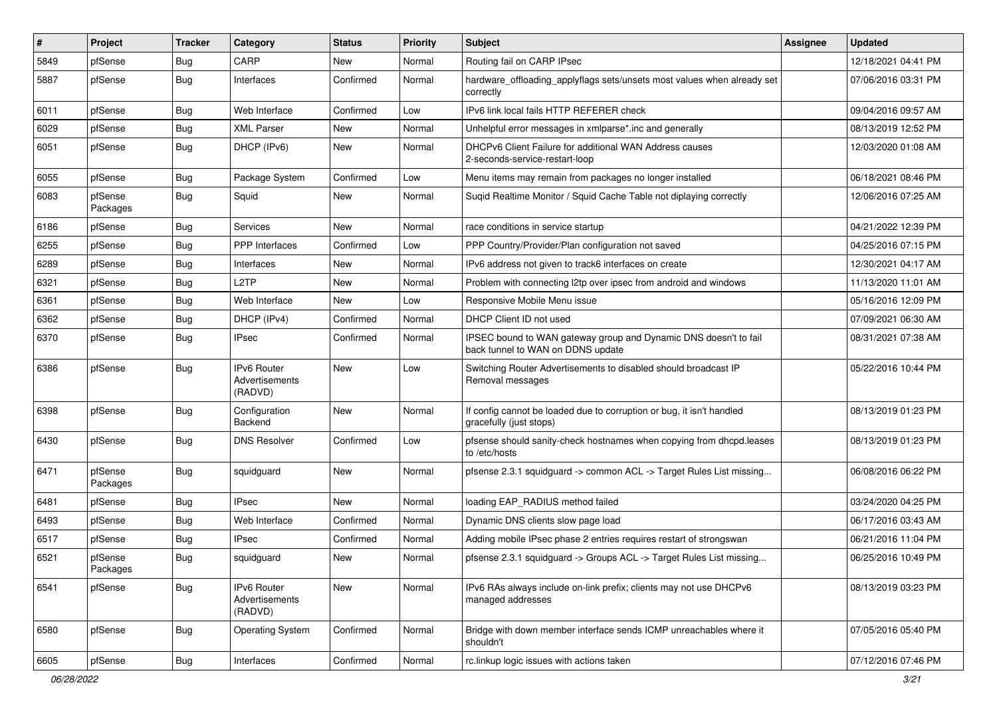| #    | Project             | <b>Tracker</b> | Category                                        | <b>Status</b> | Priority | Subject                                                                                               | <b>Assignee</b> | <b>Updated</b>      |
|------|---------------------|----------------|-------------------------------------------------|---------------|----------|-------------------------------------------------------------------------------------------------------|-----------------|---------------------|
| 5849 | pfSense             | Bug            | CARP                                            | New           | Normal   | Routing fail on CARP IPsec                                                                            |                 | 12/18/2021 04:41 PM |
| 5887 | pfSense             | Bug            | Interfaces                                      | Confirmed     | Normal   | hardware_offloading_applyflags sets/unsets most values when already set<br>correctly                  |                 | 07/06/2016 03:31 PM |
| 6011 | pfSense             | Bug            | Web Interface                                   | Confirmed     | Low      | IPv6 link local fails HTTP REFERER check                                                              |                 | 09/04/2016 09:57 AM |
| 6029 | pfSense             | Bug            | <b>XML Parser</b>                               | New           | Normal   | Unhelpful error messages in xmlparse*.inc and generally                                               |                 | 08/13/2019 12:52 PM |
| 6051 | pfSense             | Bug            | DHCP (IPv6)                                     | <b>New</b>    | Normal   | DHCPv6 Client Failure for additional WAN Address causes<br>2-seconds-service-restart-loop             |                 | 12/03/2020 01:08 AM |
| 6055 | pfSense             | Bug            | Package System                                  | Confirmed     | Low      | Menu items may remain from packages no longer installed                                               |                 | 06/18/2021 08:46 PM |
| 6083 | pfSense<br>Packages | Bug            | Squid                                           | New           | Normal   | Sugid Realtime Monitor / Squid Cache Table not diplaying correctly                                    |                 | 12/06/2016 07:25 AM |
| 6186 | pfSense             | Bug            | Services                                        | <b>New</b>    | Normal   | race conditions in service startup                                                                    |                 | 04/21/2022 12:39 PM |
| 6255 | pfSense             | <b>Bug</b>     | <b>PPP</b> Interfaces                           | Confirmed     | Low      | PPP Country/Provider/Plan configuration not saved                                                     |                 | 04/25/2016 07:15 PM |
| 6289 | pfSense             | <b>Bug</b>     | Interfaces                                      | New           | Normal   | IPv6 address not given to track6 interfaces on create                                                 |                 | 12/30/2021 04:17 AM |
| 6321 | pfSense             | <b>Bug</b>     | L <sub>2</sub> TP                               | New           | Normal   | Problem with connecting I2tp over ipsec from android and windows                                      |                 | 11/13/2020 11:01 AM |
| 6361 | pfSense             | Bug            | Web Interface                                   | New           | Low      | Responsive Mobile Menu issue                                                                          |                 | 05/16/2016 12:09 PM |
| 6362 | pfSense             | Bug            | DHCP (IPv4)                                     | Confirmed     | Normal   | DHCP Client ID not used                                                                               |                 | 07/09/2021 06:30 AM |
| 6370 | pfSense             | Bug            | <b>IPsec</b>                                    | Confirmed     | Normal   | IPSEC bound to WAN gateway group and Dynamic DNS doesn't to fail<br>back tunnel to WAN on DDNS update |                 | 08/31/2021 07:38 AM |
| 6386 | pfSense             | <b>Bug</b>     | IPv6 Router<br>Advertisements<br>(RADVD)        | <b>New</b>    | Low      | Switching Router Advertisements to disabled should broadcast IP<br>Removal messages                   |                 | 05/22/2016 10:44 PM |
| 6398 | pfSense             | <b>Bug</b>     | Configuration<br>Backend                        | <b>New</b>    | Normal   | If config cannot be loaded due to corruption or bug, it isn't handled<br>gracefully (just stops)      |                 | 08/13/2019 01:23 PM |
| 6430 | pfSense             | <b>Bug</b>     | <b>DNS Resolver</b>                             | Confirmed     | Low      | pfsense should sanity-check hostnames when copying from dhcpd.leases<br>to /etc/hosts                 |                 | 08/13/2019 01:23 PM |
| 6471 | pfSense<br>Packages | <b>Bug</b>     | squidguard                                      | New           | Normal   | pfsense 2.3.1 squidguard -> common ACL -> Target Rules List missing                                   |                 | 06/08/2016 06:22 PM |
| 6481 | pfSense             | Bug            | <b>IPsec</b>                                    | New           | Normal   | loading EAP_RADIUS method failed                                                                      |                 | 03/24/2020 04:25 PM |
| 6493 | pfSense             | <b>Bug</b>     | Web Interface                                   | Confirmed     | Normal   | Dynamic DNS clients slow page load                                                                    |                 | 06/17/2016 03:43 AM |
| 6517 | pfSense             | <b>Bug</b>     | <b>IPsec</b>                                    | Confirmed     | Normal   | Adding mobile IPsec phase 2 entries requires restart of strongswan                                    |                 | 06/21/2016 11:04 PM |
| 6521 | pfSense<br>Packages | <b>Bug</b>     | squidquard                                      | New           | Normal   | pfsense 2.3.1 squidguard -> Groups ACL -> Target Rules List missing                                   |                 | 06/25/2016 10:49 PM |
| 6541 | pfSense             | Bug            | <b>IPv6 Router</b><br>Advertisements<br>(RADVD) | New           | Normal   | IPv6 RAs always include on-link prefix; clients may not use DHCPv6<br>managed addresses               |                 | 08/13/2019 03:23 PM |
| 6580 | pfSense             | Bug            | <b>Operating System</b>                         | Confirmed     | Normal   | Bridge with down member interface sends ICMP unreachables where it<br>shouldn't                       |                 | 07/05/2016 05:40 PM |
| 6605 | pfSense             | <b>Bug</b>     | Interfaces                                      | Confirmed     | Normal   | rc.linkup logic issues with actions taken                                                             |                 | 07/12/2016 07:46 PM |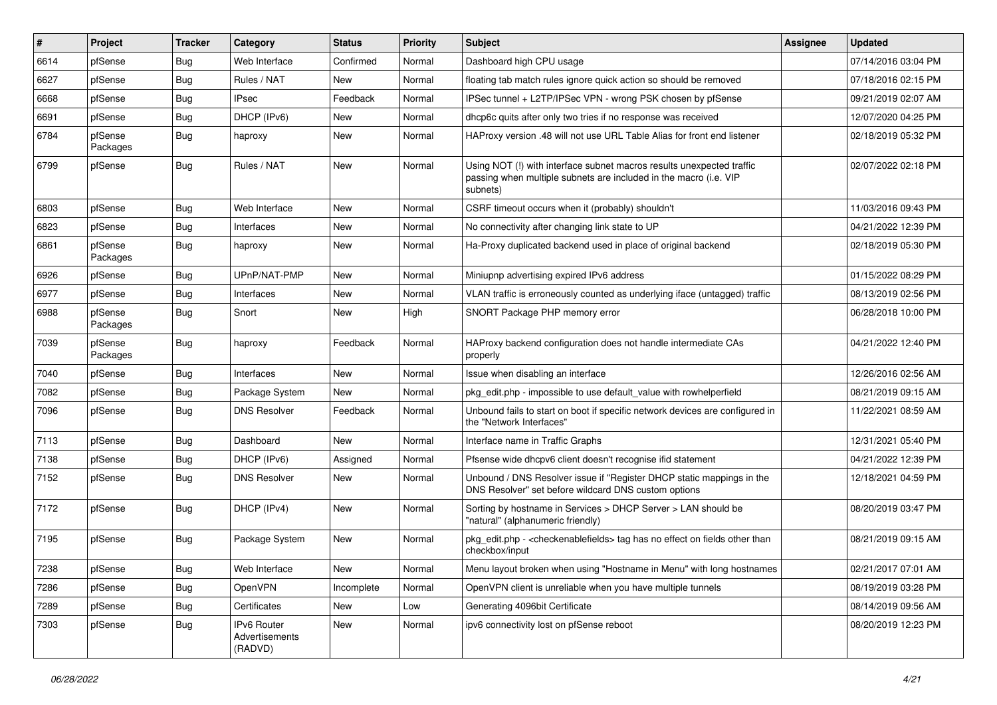| $\vert$ # | Project             | <b>Tracker</b> | Category                                 | <b>Status</b> | <b>Priority</b> | <b>Subject</b>                                                                                                                                         | Assignee | <b>Updated</b>      |
|-----------|---------------------|----------------|------------------------------------------|---------------|-----------------|--------------------------------------------------------------------------------------------------------------------------------------------------------|----------|---------------------|
| 6614      | pfSense             | <b>Bug</b>     | Web Interface                            | Confirmed     | Normal          | Dashboard high CPU usage                                                                                                                               |          | 07/14/2016 03:04 PM |
| 6627      | pfSense             | Bug            | Rules / NAT                              | <b>New</b>    | Normal          | floating tab match rules ignore quick action so should be removed                                                                                      |          | 07/18/2016 02:15 PM |
| 6668      | pfSense             | Bug            | <b>IPsec</b>                             | Feedback      | Normal          | IPSec tunnel + L2TP/IPSec VPN - wrong PSK chosen by pfSense                                                                                            |          | 09/21/2019 02:07 AM |
| 6691      | pfSense             | <b>Bug</b>     | DHCP (IPv6)                              | New           | Normal          | dhcp6c quits after only two tries if no response was received                                                                                          |          | 12/07/2020 04:25 PM |
| 6784      | pfSense<br>Packages | Bug            | haproxy                                  | New           | Normal          | HAProxy version .48 will not use URL Table Alias for front end listener                                                                                |          | 02/18/2019 05:32 PM |
| 6799      | pfSense             | <b>Bug</b>     | Rules / NAT                              | <b>New</b>    | Normal          | Using NOT (!) with interface subnet macros results unexpected traffic<br>passing when multiple subnets are included in the macro (i.e. VIP<br>subnets) |          | 02/07/2022 02:18 PM |
| 6803      | pfSense             | Bug            | Web Interface                            | <b>New</b>    | Normal          | CSRF timeout occurs when it (probably) shouldn't                                                                                                       |          | 11/03/2016 09:43 PM |
| 6823      | pfSense             | Bug            | Interfaces                               | New           | Normal          | No connectivity after changing link state to UP                                                                                                        |          | 04/21/2022 12:39 PM |
| 6861      | pfSense<br>Packages | Bug            | haproxy                                  | New           | Normal          | Ha-Proxy duplicated backend used in place of original backend                                                                                          |          | 02/18/2019 05:30 PM |
| 6926      | pfSense             | Bug            | UPnP/NAT-PMP                             | <b>New</b>    | Normal          | Miniupnp advertising expired IPv6 address                                                                                                              |          | 01/15/2022 08:29 PM |
| 6977      | pfSense             | Bug            | Interfaces                               | New           | Normal          | VLAN traffic is erroneously counted as underlying iface (untagged) traffic                                                                             |          | 08/13/2019 02:56 PM |
| 6988      | pfSense<br>Packages | <b>Bug</b>     | Snort                                    | <b>New</b>    | High            | SNORT Package PHP memory error                                                                                                                         |          | 06/28/2018 10:00 PM |
| 7039      | pfSense<br>Packages | Bug            | haproxy                                  | Feedback      | Normal          | HAProxy backend configuration does not handle intermediate CAs<br>properly                                                                             |          | 04/21/2022 12:40 PM |
| 7040      | pfSense             | <b>Bug</b>     | Interfaces                               | <b>New</b>    | Normal          | Issue when disabling an interface                                                                                                                      |          | 12/26/2016 02:56 AM |
| 7082      | pfSense             | Bug            | Package System                           | New           | Normal          | pkg_edit.php - impossible to use default_value with rowhelperfield                                                                                     |          | 08/21/2019 09:15 AM |
| 7096      | pfSense             | Bug            | <b>DNS Resolver</b>                      | Feedback      | Normal          | Unbound fails to start on boot if specific network devices are configured in<br>the "Network Interfaces"                                               |          | 11/22/2021 08:59 AM |
| 7113      | pfSense             | <b>Bug</b>     | Dashboard                                | <b>New</b>    | Normal          | Interface name in Traffic Graphs                                                                                                                       |          | 12/31/2021 05:40 PM |
| 7138      | pfSense             | Bug            | DHCP (IPv6)                              | Assigned      | Normal          | Pfsense wide dhcpv6 client doesn't recognise ifid statement                                                                                            |          | 04/21/2022 12:39 PM |
| 7152      | pfSense             | Bug            | <b>DNS Resolver</b>                      | <b>New</b>    | Normal          | Unbound / DNS Resolver issue if "Register DHCP static mappings in the<br>DNS Resolver" set before wildcard DNS custom options                          |          | 12/18/2021 04:59 PM |
| 7172      | pfSense             | Bug            | DHCP (IPv4)                              | <b>New</b>    | Normal          | Sorting by hostname in Services > DHCP Server > LAN should be<br>"natural" (alphanumeric friendly)                                                     |          | 08/20/2019 03:47 PM |
| 7195      | pfSense             | Bug            | Package System                           | New           | Normal          | pkg_edit.php - <checkenablefields> tag has no effect on fields other than<br/>checkbox/input</checkenablefields>                                       |          | 08/21/2019 09:15 AM |
| 7238      | pfSense             | Bug            | Web Interface                            | New           | Normal          | Menu layout broken when using "Hostname in Menu" with long hostnames                                                                                   |          | 02/21/2017 07:01 AM |
| 7286      | pfSense             | <b>Bug</b>     | OpenVPN                                  | Incomplete    | Normal          | OpenVPN client is unreliable when you have multiple tunnels                                                                                            |          | 08/19/2019 03:28 PM |
| 7289      | pfSense             | <b>Bug</b>     | Certificates                             | New           | Low             | Generating 4096bit Certificate                                                                                                                         |          | 08/14/2019 09:56 AM |
| 7303      | pfSense             | <b>Bug</b>     | IPv6 Router<br>Advertisements<br>(RADVD) | New           | Normal          | ipv6 connectivity lost on pfSense reboot                                                                                                               |          | 08/20/2019 12:23 PM |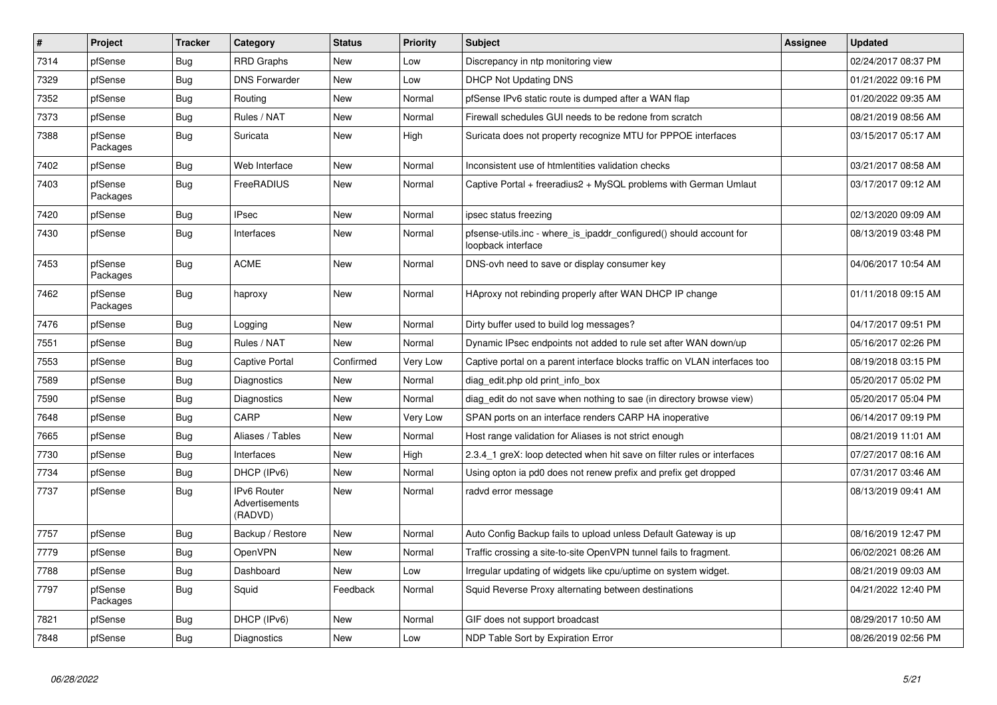| $\sharp$ | Project             | <b>Tracker</b> | Category                                 | <b>Status</b> | <b>Priority</b> | <b>Subject</b>                                                                            | <b>Assignee</b> | <b>Updated</b>      |
|----------|---------------------|----------------|------------------------------------------|---------------|-----------------|-------------------------------------------------------------------------------------------|-----------------|---------------------|
| 7314     | pfSense             | Bug            | <b>RRD Graphs</b>                        | <b>New</b>    | Low             | Discrepancy in ntp monitoring view                                                        |                 | 02/24/2017 08:37 PM |
| 7329     | pfSense             | <b>Bug</b>     | <b>DNS Forwarder</b>                     | New           | Low             | <b>DHCP Not Updating DNS</b>                                                              |                 | 01/21/2022 09:16 PM |
| 7352     | pfSense             | Bug            | Routing                                  | New           | Normal          | pfSense IPv6 static route is dumped after a WAN flap                                      |                 | 01/20/2022 09:35 AM |
| 7373     | pfSense             | <b>Bug</b>     | Rules / NAT                              | <b>New</b>    | Normal          | Firewall schedules GUI needs to be redone from scratch                                    |                 | 08/21/2019 08:56 AM |
| 7388     | pfSense<br>Packages | Bug            | Suricata                                 | <b>New</b>    | High            | Suricata does not property recognize MTU for PPPOE interfaces                             |                 | 03/15/2017 05:17 AM |
| 7402     | pfSense             | <b>Bug</b>     | Web Interface                            | <b>New</b>    | Normal          | Inconsistent use of htmlentities validation checks                                        |                 | 03/21/2017 08:58 AM |
| 7403     | pfSense<br>Packages | Bug            | FreeRADIUS                               | <b>New</b>    | Normal          | Captive Portal + freeradius2 + MySQL problems with German Umlaut                          |                 | 03/17/2017 09:12 AM |
| 7420     | pfSense             | Bug            | <b>IPsec</b>                             | <b>New</b>    | Normal          | ipsec status freezing                                                                     |                 | 02/13/2020 09:09 AM |
| 7430     | pfSense             | <b>Bug</b>     | Interfaces                               | <b>New</b>    | Normal          | pfsense-utils.inc - where is ipaddr configured() should account for<br>loopback interface |                 | 08/13/2019 03:48 PM |
| 7453     | pfSense<br>Packages | <b>Bug</b>     | <b>ACME</b>                              | New           | Normal          | DNS-ovh need to save or display consumer key                                              |                 | 04/06/2017 10:54 AM |
| 7462     | pfSense<br>Packages | <b>Bug</b>     | haproxy                                  | New           | Normal          | HAproxy not rebinding properly after WAN DHCP IP change                                   |                 | 01/11/2018 09:15 AM |
| 7476     | pfSense             | Bug            | Logging                                  | <b>New</b>    | Normal          | Dirty buffer used to build log messages?                                                  |                 | 04/17/2017 09:51 PM |
| 7551     | pfSense             | <b>Bug</b>     | Rules / NAT                              | <b>New</b>    | Normal          | Dynamic IPsec endpoints not added to rule set after WAN down/up                           |                 | 05/16/2017 02:26 PM |
| 7553     | pfSense             | Bug            | <b>Captive Portal</b>                    | Confirmed     | Very Low        | Captive portal on a parent interface blocks traffic on VLAN interfaces too                |                 | 08/19/2018 03:15 PM |
| 7589     | pfSense             | Bug            | Diagnostics                              | <b>New</b>    | Normal          | diag_edit.php old print_info_box                                                          |                 | 05/20/2017 05:02 PM |
| 7590     | pfSense             | Bug            | Diagnostics                              | <b>New</b>    | Normal          | diag edit do not save when nothing to sae (in directory browse view)                      |                 | 05/20/2017 05:04 PM |
| 7648     | pfSense             | <b>Bug</b>     | CARP                                     | <b>New</b>    | Very Low        | SPAN ports on an interface renders CARP HA inoperative                                    |                 | 06/14/2017 09:19 PM |
| 7665     | pfSense             | Bug            | Aliases / Tables                         | New           | Normal          | Host range validation for Aliases is not strict enough                                    |                 | 08/21/2019 11:01 AM |
| 7730     | pfSense             | <b>Bug</b>     | Interfaces                               | <b>New</b>    | High            | 2.3.4_1 greX: loop detected when hit save on filter rules or interfaces                   |                 | 07/27/2017 08:16 AM |
| 7734     | pfSense             | Bug            | DHCP (IPv6)                              | New           | Normal          | Using opton ia pd0 does not renew prefix and prefix get dropped                           |                 | 07/31/2017 03:46 AM |
| 7737     | pfSense             | Bug            | IPv6 Router<br>Advertisements<br>(RADVD) | New           | Normal          | radvd error message                                                                       |                 | 08/13/2019 09:41 AM |
| 7757     | pfSense             | Bug            | Backup / Restore                         | New           | Normal          | Auto Config Backup fails to upload unless Default Gateway is up                           |                 | 08/16/2019 12:47 PM |
| 7779     | pfSense             | Bug            | <b>OpenVPN</b>                           | <b>New</b>    | Normal          | Traffic crossing a site-to-site OpenVPN tunnel fails to fragment.                         |                 | 06/02/2021 08:26 AM |
| 7788     | pfSense             | Bug            | Dashboard                                | <b>New</b>    | Low             | Irregular updating of widgets like cpu/uptime on system widget.                           |                 | 08/21/2019 09:03 AM |
| 7797     | pfSense<br>Packages | <b>Bug</b>     | Squid                                    | Feedback      | Normal          | Squid Reverse Proxy alternating between destinations                                      |                 | 04/21/2022 12:40 PM |
| 7821     | pfSense             | Bug            | DHCP (IPv6)                              | New           | Normal          | GIF does not support broadcast                                                            |                 | 08/29/2017 10:50 AM |
| 7848     | pfSense             | Bug            | Diagnostics                              | <b>New</b>    | Low             | NDP Table Sort by Expiration Error                                                        |                 | 08/26/2019 02:56 PM |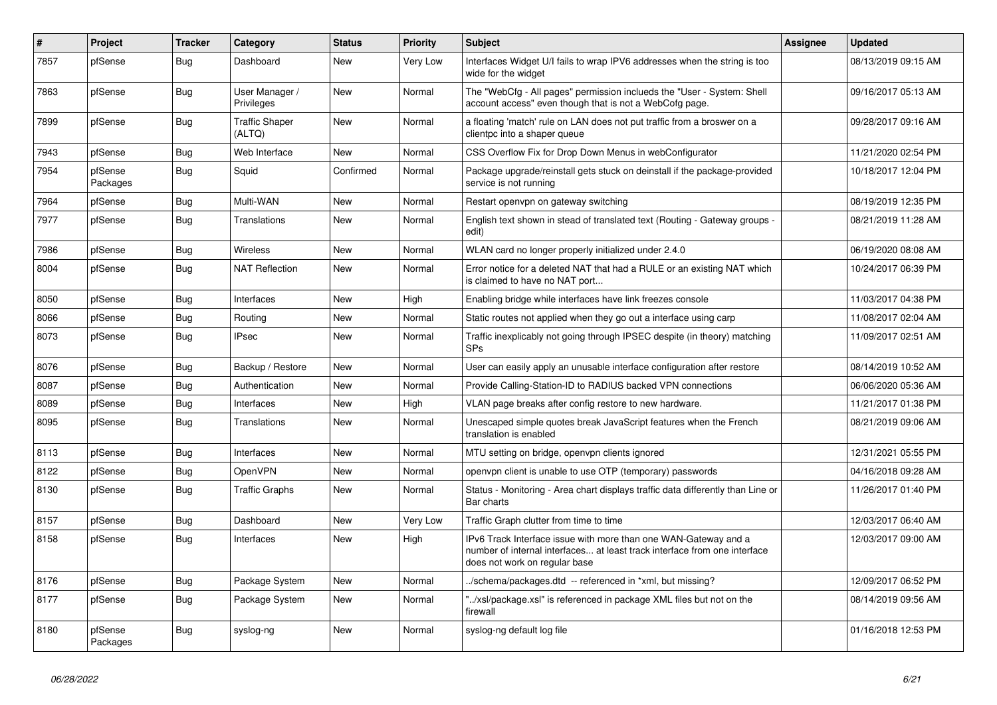| $\vert$ # | Project             | <b>Tracker</b> | Category                        | <b>Status</b> | <b>Priority</b> | <b>Subject</b>                                                                                                                                                                | <b>Assignee</b> | <b>Updated</b>      |
|-----------|---------------------|----------------|---------------------------------|---------------|-----------------|-------------------------------------------------------------------------------------------------------------------------------------------------------------------------------|-----------------|---------------------|
| 7857      | pfSense             | <b>Bug</b>     | Dashboard                       | New           | <b>Very Low</b> | Interfaces Widget U/I fails to wrap IPV6 addresses when the string is too<br>wide for the widget                                                                              |                 | 08/13/2019 09:15 AM |
| 7863      | pfSense             | <b>Bug</b>     | User Manager /<br>Privileges    | <b>New</b>    | Normal          | The "WebCfg - All pages" permission inclueds the "User - System: Shell<br>account access" even though that is not a WebCofg page.                                             |                 | 09/16/2017 05:13 AM |
| 7899      | pfSense             | Bug            | <b>Traffic Shaper</b><br>(ALTQ) | <b>New</b>    | Normal          | a floating 'match' rule on LAN does not put traffic from a broswer on a<br>clientpc into a shaper queue                                                                       |                 | 09/28/2017 09:16 AM |
| 7943      | pfSense             | Bug            | Web Interface                   | <b>New</b>    | Normal          | CSS Overflow Fix for Drop Down Menus in webConfigurator                                                                                                                       |                 | 11/21/2020 02:54 PM |
| 7954      | pfSense<br>Packages | Bug            | Squid                           | Confirmed     | Normal          | Package upgrade/reinstall gets stuck on deinstall if the package-provided<br>service is not running                                                                           |                 | 10/18/2017 12:04 PM |
| 7964      | pfSense             | <b>Bug</b>     | Multi-WAN                       | New           | Normal          | Restart openypn on gateway switching                                                                                                                                          |                 | 08/19/2019 12:35 PM |
| 7977      | pfSense             | <b>Bug</b>     | Translations                    | New           | Normal          | English text shown in stead of translated text (Routing - Gateway groups -<br>edit)                                                                                           |                 | 08/21/2019 11:28 AM |
| 7986      | pfSense             | <b>Bug</b>     | <b>Wireless</b>                 | <b>New</b>    | Normal          | WLAN card no longer properly initialized under 2.4.0                                                                                                                          |                 | 06/19/2020 08:08 AM |
| 8004      | pfSense             | <b>Bug</b>     | <b>NAT Reflection</b>           | New           | Normal          | Error notice for a deleted NAT that had a RULE or an existing NAT which<br>is claimed to have no NAT port                                                                     |                 | 10/24/2017 06:39 PM |
| 8050      | pfSense             | <b>Bug</b>     | Interfaces                      | <b>New</b>    | High            | Enabling bridge while interfaces have link freezes console                                                                                                                    |                 | 11/03/2017 04:38 PM |
| 8066      | pfSense             | <b>Bug</b>     | Routing                         | <b>New</b>    | Normal          | Static routes not applied when they go out a interface using carp                                                                                                             |                 | 11/08/2017 02:04 AM |
| 8073      | pfSense             | <b>Bug</b>     | <b>IPsec</b>                    | New           | Normal          | Traffic inexplicably not going through IPSEC despite (in theory) matching<br><b>SPs</b>                                                                                       |                 | 11/09/2017 02:51 AM |
| 8076      | pfSense             | Bug            | Backup / Restore                | <b>New</b>    | Normal          | User can easily apply an unusable interface configuration after restore                                                                                                       |                 | 08/14/2019 10:52 AM |
| 8087      | pfSense             | <b>Bug</b>     | Authentication                  | <b>New</b>    | Normal          | Provide Calling-Station-ID to RADIUS backed VPN connections                                                                                                                   |                 | 06/06/2020 05:36 AM |
| 8089      | pfSense             | <b>Bug</b>     | Interfaces                      | <b>New</b>    | High            | VLAN page breaks after config restore to new hardware.                                                                                                                        |                 | 11/21/2017 01:38 PM |
| 8095      | pfSense             | Bug            | <b>Translations</b>             | <b>New</b>    | Normal          | Unescaped simple quotes break JavaScript features when the French<br>translation is enabled                                                                                   |                 | 08/21/2019 09:06 AM |
| 8113      | pfSense             | <b>Bug</b>     | Interfaces                      | <b>New</b>    | Normal          | MTU setting on bridge, openvpn clients ignored                                                                                                                                |                 | 12/31/2021 05:55 PM |
| 8122      | pfSense             | <b>Bug</b>     | OpenVPN                         | <b>New</b>    | Normal          | openvpn client is unable to use OTP (temporary) passwords                                                                                                                     |                 | 04/16/2018 09:28 AM |
| 8130      | pfSense             | <b>Bug</b>     | <b>Traffic Graphs</b>           | New           | Normal          | Status - Monitoring - Area chart displays traffic data differently than Line or<br>Bar charts                                                                                 |                 | 11/26/2017 01:40 PM |
| 8157      | pfSense             | Bug            | Dashboard                       | New           | Very Low        | Traffic Graph clutter from time to time                                                                                                                                       |                 | 12/03/2017 06:40 AM |
| 8158      | pfSense             | <b>Bug</b>     | Interfaces                      | <b>New</b>    | High            | IPv6 Track Interface issue with more than one WAN-Gateway and a<br>number of internal interfaces at least track interface from one interface<br>does not work on regular base |                 | 12/03/2017 09:00 AM |
| 8176      | pfSense             | Bug            | Package System                  | New           | Normal          | ./schema/packages.dtd -- referenced in *xml, but missing?                                                                                                                     |                 | 12/09/2017 06:52 PM |
| 8177      | pfSense             | Bug            | Package System                  | New           | Normal          | '/xsl/package.xsl" is referenced in package XML files but not on the<br>firewall                                                                                              |                 | 08/14/2019 09:56 AM |
| 8180      | pfSense<br>Packages | <b>Bug</b>     | syslog-ng                       | <b>New</b>    | Normal          | syslog-ng default log file                                                                                                                                                    |                 | 01/16/2018 12:53 PM |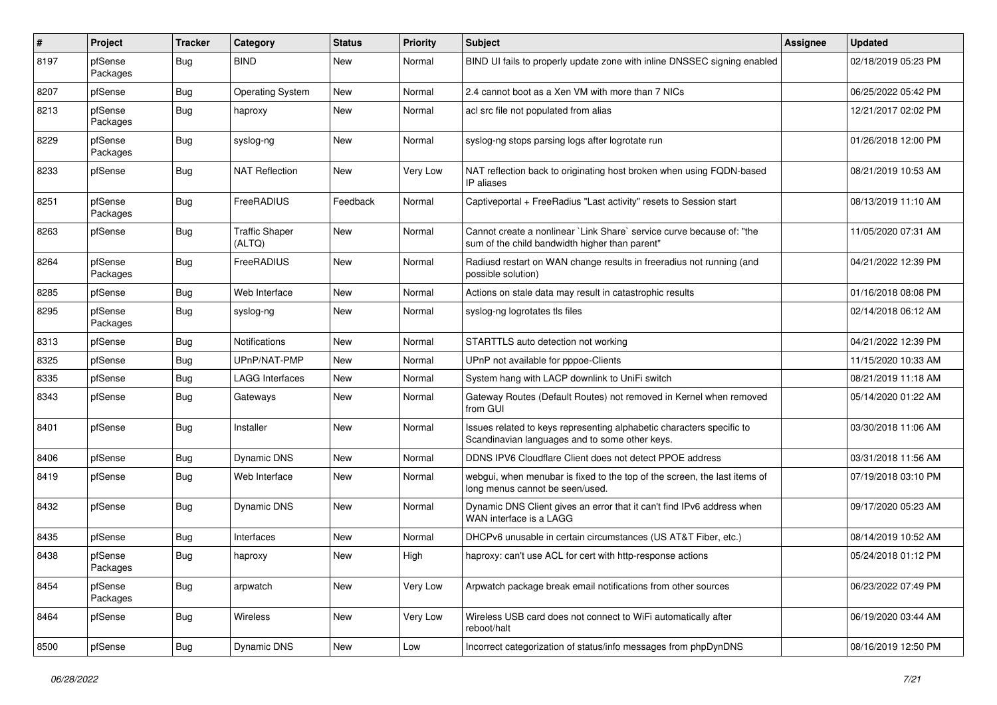| #    | Project             | <b>Tracker</b> | Category                        | <b>Status</b> | <b>Priority</b> | <b>Subject</b>                                                                                                          | Assignee | <b>Updated</b>      |
|------|---------------------|----------------|---------------------------------|---------------|-----------------|-------------------------------------------------------------------------------------------------------------------------|----------|---------------------|
| 8197 | pfSense<br>Packages | Bug            | <b>BIND</b>                     | New           | Normal          | BIND UI fails to properly update zone with inline DNSSEC signing enabled                                                |          | 02/18/2019 05:23 PM |
| 8207 | pfSense             | Bug            | <b>Operating System</b>         | <b>New</b>    | Normal          | 2.4 cannot boot as a Xen VM with more than 7 NICs                                                                       |          | 06/25/2022 05:42 PM |
| 8213 | pfSense<br>Packages | <b>Bug</b>     | haproxy                         | New           | Normal          | acl src file not populated from alias                                                                                   |          | 12/21/2017 02:02 PM |
| 8229 | pfSense<br>Packages | <b>Bug</b>     | syslog-ng                       | <b>New</b>    | Normal          | syslog-ng stops parsing logs after logrotate run                                                                        |          | 01/26/2018 12:00 PM |
| 8233 | pfSense             | <b>Bug</b>     | <b>NAT Reflection</b>           | New           | Very Low        | NAT reflection back to originating host broken when using FQDN-based<br>IP aliases                                      |          | 08/21/2019 10:53 AM |
| 8251 | pfSense<br>Packages | Bug            | FreeRADIUS                      | Feedback      | Normal          | Captiveportal + FreeRadius "Last activity" resets to Session start                                                      |          | 08/13/2019 11:10 AM |
| 8263 | pfSense             | Bug            | <b>Traffic Shaper</b><br>(ALTQ) | <b>New</b>    | Normal          | Cannot create a nonlinear `Link Share` service curve because of: "the<br>sum of the child bandwidth higher than parent" |          | 11/05/2020 07:31 AM |
| 8264 | pfSense<br>Packages | Bug            | FreeRADIUS                      | <b>New</b>    | Normal          | Radiusd restart on WAN change results in freeradius not running (and<br>possible solution)                              |          | 04/21/2022 12:39 PM |
| 8285 | pfSense             | <b>Bug</b>     | Web Interface                   | New           | Normal          | Actions on stale data may result in catastrophic results                                                                |          | 01/16/2018 08:08 PM |
| 8295 | pfSense<br>Packages | Bug            | syslog-ng                       | <b>New</b>    | Normal          | syslog-ng logrotates tls files                                                                                          |          | 02/14/2018 06:12 AM |
| 8313 | pfSense             | Bug            | <b>Notifications</b>            | <b>New</b>    | Normal          | STARTTLS auto detection not working                                                                                     |          | 04/21/2022 12:39 PM |
| 8325 | pfSense             | Bug            | UPnP/NAT-PMP                    | New           | Normal          | UPnP not available for pppoe-Clients                                                                                    |          | 11/15/2020 10:33 AM |
| 8335 | pfSense             | Bug            | <b>LAGG Interfaces</b>          | New           | Normal          | System hang with LACP downlink to UniFi switch                                                                          |          | 08/21/2019 11:18 AM |
| 8343 | pfSense             | Bug            | Gateways                        | New           | Normal          | Gateway Routes (Default Routes) not removed in Kernel when removed<br>from GUI                                          |          | 05/14/2020 01:22 AM |
| 8401 | pfSense             | <b>Bug</b>     | Installer                       | <b>New</b>    | Normal          | Issues related to keys representing alphabetic characters specific to<br>Scandinavian languages and to some other keys. |          | 03/30/2018 11:06 AM |
| 8406 | pfSense             | <b>Bug</b>     | Dynamic DNS                     | <b>New</b>    | Normal          | DDNS IPV6 Cloudflare Client does not detect PPOE address                                                                |          | 03/31/2018 11:56 AM |
| 8419 | pfSense             | Bug            | Web Interface                   | New           | Normal          | webgui, when menubar is fixed to the top of the screen, the last items of<br>long menus cannot be seen/used.            |          | 07/19/2018 03:10 PM |
| 8432 | pfSense             | Bug            | <b>Dynamic DNS</b>              | <b>New</b>    | Normal          | Dynamic DNS Client gives an error that it can't find IPv6 address when<br>WAN interface is a LAGG                       |          | 09/17/2020 05:23 AM |
| 8435 | pfSense             | Bug            | Interfaces                      | <b>New</b>    | Normal          | DHCPv6 unusable in certain circumstances (US AT&T Fiber, etc.)                                                          |          | 08/14/2019 10:52 AM |
| 8438 | pfSense<br>Packages | Bug            | haproxy                         | New           | High            | haproxy: can't use ACL for cert with http-response actions                                                              |          | 05/24/2018 01:12 PM |
| 8454 | pfSense<br>Packages | Bug            | arpwatch                        | New           | Very Low        | Arpwatch package break email notifications from other sources                                                           |          | 06/23/2022 07:49 PM |
| 8464 | pfSense             | <b>Bug</b>     | Wireless                        | New           | Very Low        | Wireless USB card does not connect to WiFi automatically after<br>reboot/halt                                           |          | 06/19/2020 03:44 AM |
| 8500 | pfSense             | <b>Bug</b>     | Dynamic DNS                     | New           | Low             | Incorrect categorization of status/info messages from phpDynDNS                                                         |          | 08/16/2019 12:50 PM |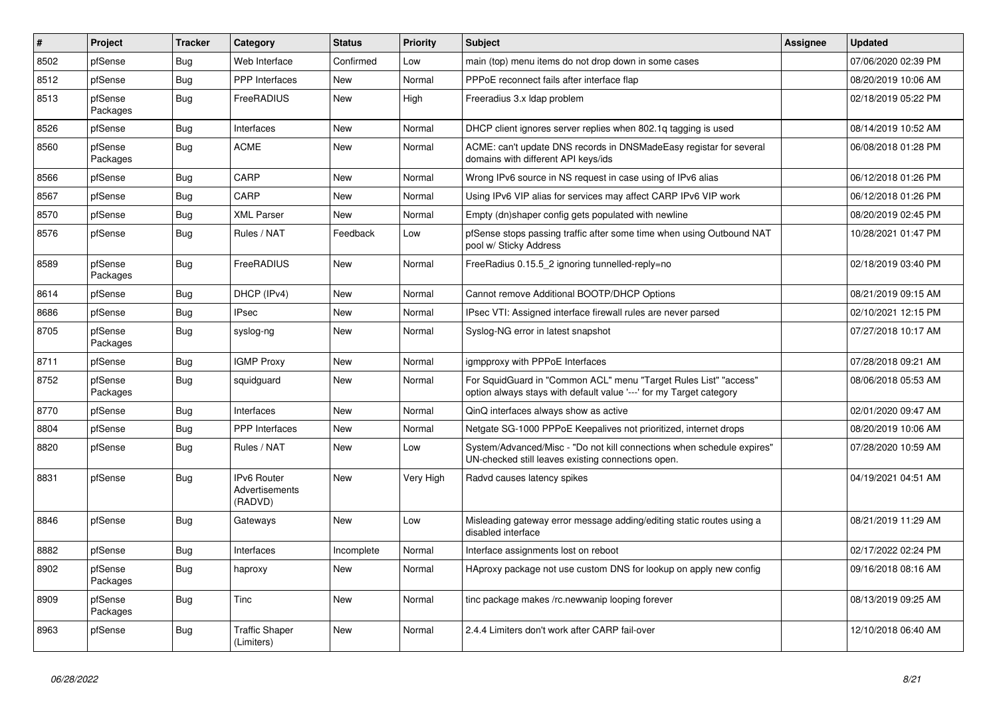| ∦    | Project             | <b>Tracker</b> | Category                                 | <b>Status</b> | <b>Priority</b> | <b>Subject</b>                                                                                                                          | <b>Assignee</b> | <b>Updated</b>      |
|------|---------------------|----------------|------------------------------------------|---------------|-----------------|-----------------------------------------------------------------------------------------------------------------------------------------|-----------------|---------------------|
| 8502 | pfSense             | <b>Bug</b>     | Web Interface                            | Confirmed     | Low             | main (top) menu items do not drop down in some cases                                                                                    |                 | 07/06/2020 02:39 PM |
| 8512 | pfSense             | Bug            | <b>PPP</b> Interfaces                    | <b>New</b>    | Normal          | PPPoE reconnect fails after interface flap                                                                                              |                 | 08/20/2019 10:06 AM |
| 8513 | pfSense<br>Packages | <b>Bug</b>     | FreeRADIUS                               | New           | High            | Freeradius 3.x Idap problem                                                                                                             |                 | 02/18/2019 05:22 PM |
| 8526 | pfSense             | <b>Bug</b>     | Interfaces                               | <b>New</b>    | Normal          | DHCP client ignores server replies when 802.1q tagging is used                                                                          |                 | 08/14/2019 10:52 AM |
| 8560 | pfSense<br>Packages | <b>Bug</b>     | <b>ACME</b>                              | New           | Normal          | ACME: can't update DNS records in DNSMadeEasy registar for several<br>domains with different API keys/ids                               |                 | 06/08/2018 01:28 PM |
| 8566 | pfSense             | Bug            | CARP                                     | New           | Normal          | Wrong IPv6 source in NS request in case using of IPv6 alias                                                                             |                 | 06/12/2018 01:26 PM |
| 8567 | pfSense             | <b>Bug</b>     | CARP                                     | New           | Normal          | Using IPv6 VIP alias for services may affect CARP IPv6 VIP work                                                                         |                 | 06/12/2018 01:26 PM |
| 8570 | pfSense             | Bug            | <b>XML Parser</b>                        | New           | Normal          | Empty (dn)shaper config gets populated with newline                                                                                     |                 | 08/20/2019 02:45 PM |
| 8576 | pfSense             | <b>Bug</b>     | Rules / NAT                              | Feedback      | Low             | pfSense stops passing traffic after some time when using Outbound NAT<br>pool w/ Sticky Address                                         |                 | 10/28/2021 01:47 PM |
| 8589 | pfSense<br>Packages | <b>Bug</b>     | FreeRADIUS                               | <b>New</b>    | Normal          | FreeRadius 0.15.5 2 ignoring tunnelled-reply=no                                                                                         |                 | 02/18/2019 03:40 PM |
| 8614 | pfSense             | Bug            | DHCP (IPv4)                              | <b>New</b>    | Normal          | Cannot remove Additional BOOTP/DHCP Options                                                                                             |                 | 08/21/2019 09:15 AM |
| 8686 | pfSense             | Bug            | <b>IPsec</b>                             | <b>New</b>    | Normal          | IPsec VTI: Assigned interface firewall rules are never parsed                                                                           |                 | 02/10/2021 12:15 PM |
| 8705 | pfSense<br>Packages | <b>Bug</b>     | syslog-ng                                | New           | Normal          | Syslog-NG error in latest snapshot                                                                                                      |                 | 07/27/2018 10:17 AM |
| 8711 | pfSense             | <b>Bug</b>     | <b>IGMP Proxy</b>                        | <b>New</b>    | Normal          | igmpproxy with PPPoE Interfaces                                                                                                         |                 | 07/28/2018 09:21 AM |
| 8752 | pfSense<br>Packages | Bug            | squidguard                               | New           | Normal          | For SquidGuard in "Common ACL" menu "Target Rules List" "access"<br>option always stays with default value '---' for my Target category |                 | 08/06/2018 05:53 AM |
| 8770 | pfSense             | Bug            | Interfaces                               | <b>New</b>    | Normal          | QinQ interfaces always show as active                                                                                                   |                 | 02/01/2020 09:47 AM |
| 8804 | pfSense             | Bug            | PPP Interfaces                           | <b>New</b>    | Normal          | Netgate SG-1000 PPPoE Keepalives not prioritized, internet drops                                                                        |                 | 08/20/2019 10:06 AM |
| 8820 | pfSense             | <b>Bug</b>     | Rules / NAT                              | <b>New</b>    | Low             | System/Advanced/Misc - "Do not kill connections when schedule expires"<br>UN-checked still leaves existing connections open.            |                 | 07/28/2020 10:59 AM |
| 8831 | pfSense             | Bug            | IPv6 Router<br>Advertisements<br>(RADVD) | New           | Very High       | Radvd causes latency spikes                                                                                                             |                 | 04/19/2021 04:51 AM |
| 8846 | pfSense             | <b>Bug</b>     | Gateways                                 | <b>New</b>    | Low             | Misleading gateway error message adding/editing static routes using a<br>disabled interface                                             |                 | 08/21/2019 11:29 AM |
| 8882 | pfSense             | Bug            | Interfaces                               | Incomplete    | Normal          | Interface assignments lost on reboot                                                                                                    |                 | 02/17/2022 02:24 PM |
| 8902 | pfSense<br>Packages | <b>Bug</b>     | haproxy                                  | New           | Normal          | HAproxy package not use custom DNS for lookup on apply new config                                                                       |                 | 09/16/2018 08:16 AM |
| 8909 | pfSense<br>Packages | Bug            | Tinc                                     | <b>New</b>    | Normal          | tinc package makes /rc.newwanip looping forever                                                                                         |                 | 08/13/2019 09:25 AM |
| 8963 | pfSense             | <b>Bug</b>     | <b>Traffic Shaper</b><br>(Limiters)      | <b>New</b>    | Normal          | 2.4.4 Limiters don't work after CARP fail-over                                                                                          |                 | 12/10/2018 06:40 AM |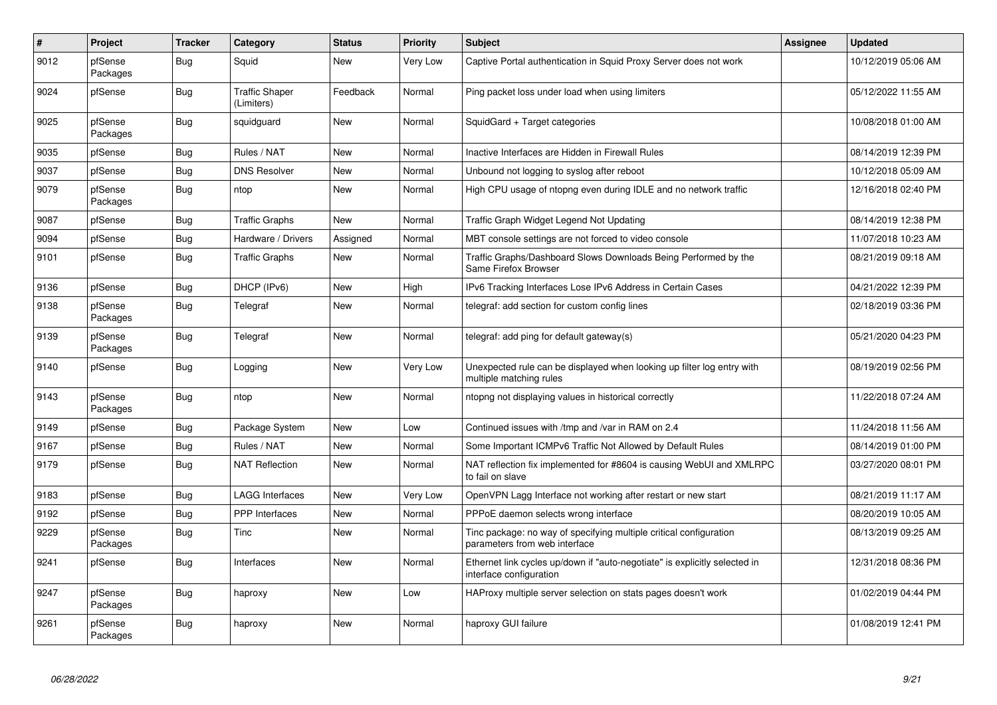| $\pmb{\#}$ | <b>Project</b>      | <b>Tracker</b> | Category                            | <b>Status</b> | <b>Priority</b> | <b>Subject</b>                                                                                        | <b>Assignee</b> | <b>Updated</b>      |
|------------|---------------------|----------------|-------------------------------------|---------------|-----------------|-------------------------------------------------------------------------------------------------------|-----------------|---------------------|
| 9012       | pfSense<br>Packages | <b>Bug</b>     | Squid                               | <b>New</b>    | Very Low        | Captive Portal authentication in Squid Proxy Server does not work                                     |                 | 10/12/2019 05:06 AM |
| 9024       | pfSense             | Bug            | <b>Traffic Shaper</b><br>(Limiters) | Feedback      | Normal          | Ping packet loss under load when using limiters                                                       |                 | 05/12/2022 11:55 AM |
| 9025       | pfSense<br>Packages | Bug            | squidguard                          | <b>New</b>    | Normal          | SquidGard + Target categories                                                                         |                 | 10/08/2018 01:00 AM |
| 9035       | pfSense             | Bug            | Rules / NAT                         | <b>New</b>    | Normal          | Inactive Interfaces are Hidden in Firewall Rules                                                      |                 | 08/14/2019 12:39 PM |
| 9037       | pfSense             | <b>Bug</b>     | <b>DNS Resolver</b>                 | New           | Normal          | Unbound not logging to syslog after reboot                                                            |                 | 10/12/2018 05:09 AM |
| 9079       | pfSense<br>Packages | Bug            | ntop                                | New           | Normal          | High CPU usage of ntopng even during IDLE and no network traffic                                      |                 | 12/16/2018 02:40 PM |
| 9087       | pfSense             | Bug            | <b>Traffic Graphs</b>               | <b>New</b>    | Normal          | Traffic Graph Widget Legend Not Updating                                                              |                 | 08/14/2019 12:38 PM |
| 9094       | pfSense             | <b>Bug</b>     | Hardware / Drivers                  | Assigned      | Normal          | MBT console settings are not forced to video console                                                  |                 | 11/07/2018 10:23 AM |
| 9101       | pfSense             | Bug            | <b>Traffic Graphs</b>               | New           | Normal          | Traffic Graphs/Dashboard Slows Downloads Being Performed by the<br>Same Firefox Browser               |                 | 08/21/2019 09:18 AM |
| 9136       | pfSense             | <b>Bug</b>     | DHCP (IPv6)                         | New           | High            | IPv6 Tracking Interfaces Lose IPv6 Address in Certain Cases                                           |                 | 04/21/2022 12:39 PM |
| 9138       | pfSense<br>Packages | Bug            | Telegraf                            | <b>New</b>    | Normal          | telegraf: add section for custom config lines                                                         |                 | 02/18/2019 03:36 PM |
| 9139       | pfSense<br>Packages | Bug            | Telegraf                            | <b>New</b>    | Normal          | telegraf: add ping for default gateway(s)                                                             |                 | 05/21/2020 04:23 PM |
| 9140       | pfSense             | Bug            | Logging                             | <b>New</b>    | Very Low        | Unexpected rule can be displayed when looking up filter log entry with<br>multiple matching rules     |                 | 08/19/2019 02:56 PM |
| 9143       | pfSense<br>Packages | <b>Bug</b>     | ntop                                | <b>New</b>    | Normal          | ntopng not displaying values in historical correctly                                                  |                 | 11/22/2018 07:24 AM |
| 9149       | pfSense             | Bug            | Package System                      | <b>New</b>    | Low             | Continued issues with /tmp and /var in RAM on 2.4                                                     |                 | 11/24/2018 11:56 AM |
| 9167       | pfSense             | Bug            | Rules / NAT                         | <b>New</b>    | Normal          | Some Important ICMPv6 Traffic Not Allowed by Default Rules                                            |                 | 08/14/2019 01:00 PM |
| 9179       | pfSense             | Bug            | <b>NAT Reflection</b>               | <b>New</b>    | Normal          | NAT reflection fix implemented for #8604 is causing WebUI and XMLRPC<br>to fail on slave              |                 | 03/27/2020 08:01 PM |
| 9183       | pfSense             | <b>Bug</b>     | <b>LAGG Interfaces</b>              | <b>New</b>    | Very Low        | OpenVPN Lagg Interface not working after restart or new start                                         |                 | 08/21/2019 11:17 AM |
| 9192       | pfSense             | <b>Bug</b>     | <b>PPP</b> Interfaces               | <b>New</b>    | Normal          | PPPoE daemon selects wrong interface                                                                  |                 | 08/20/2019 10:05 AM |
| 9229       | pfSense<br>Packages | <b>Bug</b>     | <b>Tinc</b>                         | <b>New</b>    | Normal          | Tinc package: no way of specifying multiple critical configuration<br>parameters from web interface   |                 | 08/13/2019 09:25 AM |
| 9241       | pfSense             | <b>Bug</b>     | Interfaces                          | New           | Normal          | Ethernet link cycles up/down if "auto-negotiate" is explicitly selected in<br>interface configuration |                 | 12/31/2018 08:36 PM |
| 9247       | pfSense<br>Packages | <b>Bug</b>     | haproxy                             | <b>New</b>    | Low             | HAProxy multiple server selection on stats pages doesn't work                                         |                 | 01/02/2019 04:44 PM |
| 9261       | pfSense<br>Packages | Bug            | haproxy                             | <b>New</b>    | Normal          | haproxy GUI failure                                                                                   |                 | 01/08/2019 12:41 PM |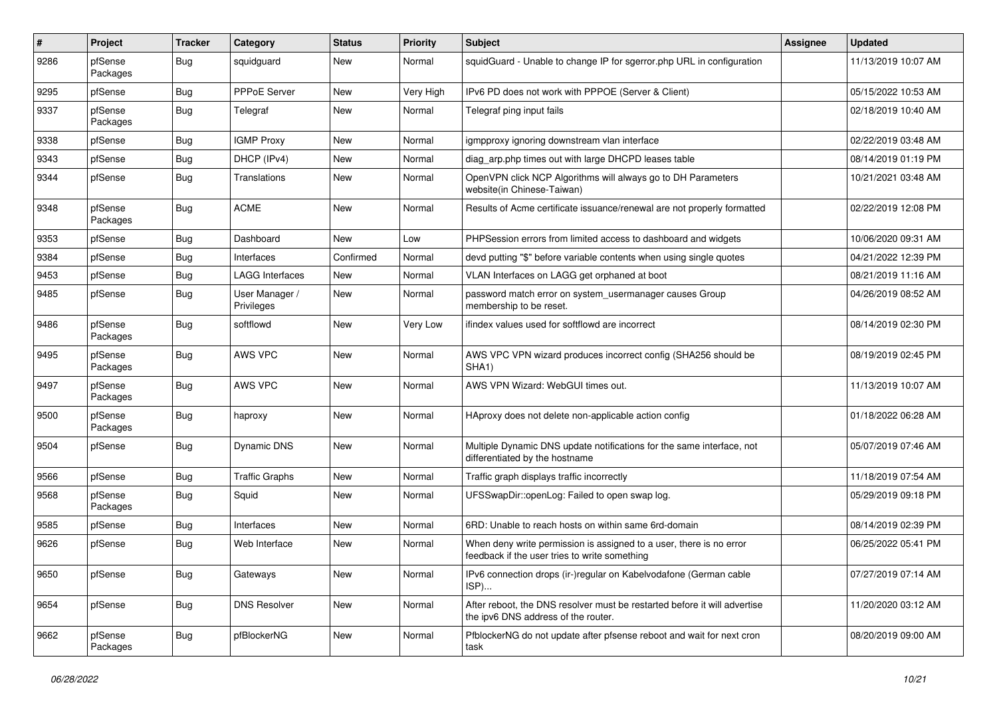| $\vert$ # | Project             | <b>Tracker</b> | Category                     | <b>Status</b> | <b>Priority</b> | <b>Subject</b>                                                                                                       | <b>Assignee</b> | <b>Updated</b>      |
|-----------|---------------------|----------------|------------------------------|---------------|-----------------|----------------------------------------------------------------------------------------------------------------------|-----------------|---------------------|
| 9286      | pfSense<br>Packages | <b>Bug</b>     | squidguard                   | New           | Normal          | squidGuard - Unable to change IP for sgerror.php URL in configuration                                                |                 | 11/13/2019 10:07 AM |
| 9295      | pfSense             | Bug            | PPPoE Server                 | <b>New</b>    | Very High       | IPv6 PD does not work with PPPOE (Server & Client)                                                                   |                 | 05/15/2022 10:53 AM |
| 9337      | pfSense<br>Packages | <b>Bug</b>     | Telegraf                     | New           | Normal          | Telegraf ping input fails                                                                                            |                 | 02/18/2019 10:40 AM |
| 9338      | pfSense             | <b>Bug</b>     | <b>IGMP Proxy</b>            | New           | Normal          | igmpproxy ignoring downstream vlan interface                                                                         |                 | 02/22/2019 03:48 AM |
| 9343      | pfSense             | Bug            | DHCP (IPv4)                  | New           | Normal          | diag_arp.php times out with large DHCPD leases table                                                                 |                 | 08/14/2019 01:19 PM |
| 9344      | pfSense             | Bug            | Translations                 | <b>New</b>    | Normal          | OpenVPN click NCP Algorithms will always go to DH Parameters<br>website(in Chinese-Taiwan)                           |                 | 10/21/2021 03:48 AM |
| 9348      | pfSense<br>Packages | i Bug          | <b>ACME</b>                  | New           | Normal          | Results of Acme certificate issuance/renewal are not properly formatted                                              |                 | 02/22/2019 12:08 PM |
| 9353      | pfSense             | <b>Bug</b>     | Dashboard                    | New           | Low             | PHPSession errors from limited access to dashboard and widgets                                                       |                 | 10/06/2020 09:31 AM |
| 9384      | pfSense             | <b>Bug</b>     | Interfaces                   | Confirmed     | Normal          | devd putting "\$" before variable contents when using single quotes                                                  |                 | 04/21/2022 12:39 PM |
| 9453      | pfSense             | <b>Bug</b>     | <b>LAGG Interfaces</b>       | New           | Normal          | VLAN Interfaces on LAGG get orphaned at boot                                                                         |                 | 08/21/2019 11:16 AM |
| 9485      | pfSense             | Bug            | User Manager /<br>Privileges | New           | Normal          | password match error on system_usermanager causes Group<br>membership to be reset.                                   |                 | 04/26/2019 08:52 AM |
| 9486      | pfSense<br>Packages | <b>Bug</b>     | softflowd                    | New           | Very Low        | ifindex values used for softflowd are incorrect                                                                      |                 | 08/14/2019 02:30 PM |
| 9495      | pfSense<br>Packages | Bug            | AWS VPC                      | New           | Normal          | AWS VPC VPN wizard produces incorrect config (SHA256 should be<br>SHA <sub>1</sub> )                                 |                 | 08/19/2019 02:45 PM |
| 9497      | pfSense<br>Packages | <b>Bug</b>     | AWS VPC                      | New           | Normal          | AWS VPN Wizard: WebGUI times out.                                                                                    |                 | 11/13/2019 10:07 AM |
| 9500      | pfSense<br>Packages | <b>Bug</b>     | haproxy                      | New           | Normal          | HAproxy does not delete non-applicable action config                                                                 |                 | 01/18/2022 06:28 AM |
| 9504      | pfSense             | Bug            | Dynamic DNS                  | <b>New</b>    | Normal          | Multiple Dynamic DNS update notifications for the same interface, not<br>differentiated by the hostname              |                 | 05/07/2019 07:46 AM |
| 9566      | pfSense             | <b>Bug</b>     | <b>Traffic Graphs</b>        | <b>New</b>    | Normal          | Traffic graph displays traffic incorrectly                                                                           |                 | 11/18/2019 07:54 AM |
| 9568      | pfSense<br>Packages | <b>Bug</b>     | Squid                        | New           | Normal          | UFSSwapDir::openLog: Failed to open swap log.                                                                        |                 | 05/29/2019 09:18 PM |
| 9585      | pfSense             | Bug            | Interfaces                   | New           | Normal          | 6RD: Unable to reach hosts on within same 6rd-domain                                                                 |                 | 08/14/2019 02:39 PM |
| 9626      | pfSense             | <b>Bug</b>     | Web Interface                | New           | Normal          | When deny write permission is assigned to a user, there is no error<br>feedback if the user tries to write something |                 | 06/25/2022 05:41 PM |
| 9650      | pfSense             | Bug            | Gateways                     | New           | Normal          | IPv6 connection drops (ir-)regular on Kabelvodafone (German cable<br>ISP)                                            |                 | 07/27/2019 07:14 AM |
| 9654      | pfSense             | <b>Bug</b>     | <b>DNS Resolver</b>          | New           | Normal          | After reboot, the DNS resolver must be restarted before it will advertise<br>the ipv6 DNS address of the router.     |                 | 11/20/2020 03:12 AM |
| 9662      | pfSense<br>Packages | <b>Bug</b>     | pfBlockerNG                  | New           | Normal          | PfblockerNG do not update after pfsense reboot and wait for next cron<br>task                                        |                 | 08/20/2019 09:00 AM |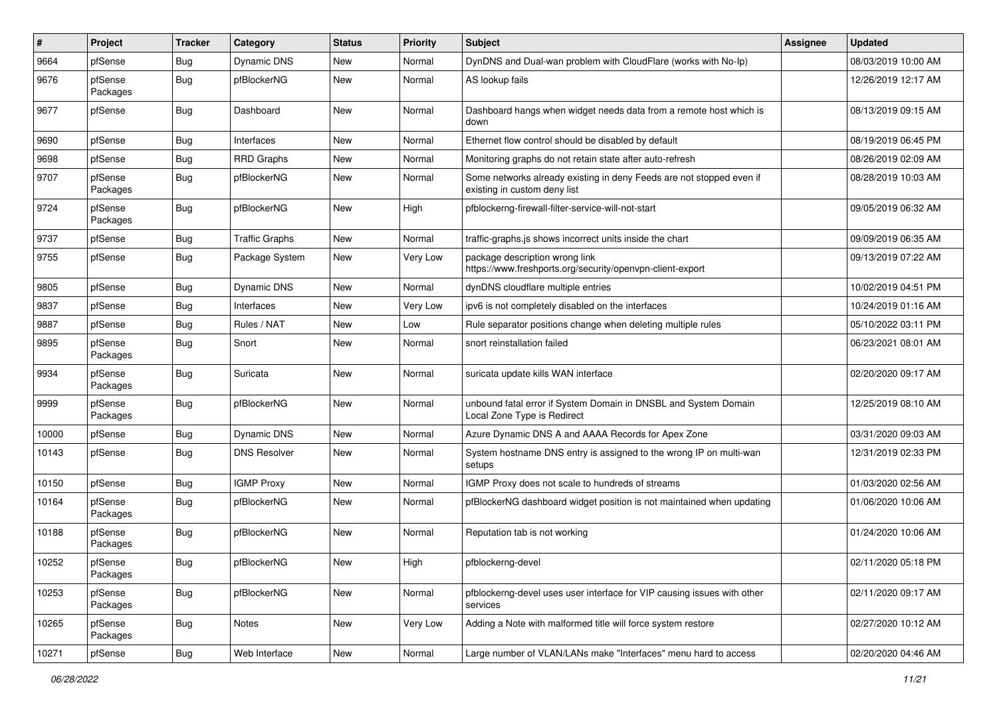| #     | Project             | <b>Tracker</b> | Category              | <b>Status</b> | <b>Priority</b> | <b>Subject</b>                                                                                       | <b>Assignee</b> | <b>Updated</b>      |
|-------|---------------------|----------------|-----------------------|---------------|-----------------|------------------------------------------------------------------------------------------------------|-----------------|---------------------|
| 9664  | pfSense             | <b>Bug</b>     | <b>Dynamic DNS</b>    | New           | Normal          | DynDNS and Dual-wan problem with CloudFlare (works with No-Ip)                                       |                 | 08/03/2019 10:00 AM |
| 9676  | pfSense<br>Packages | Bug            | pfBlockerNG           | New           | Normal          | AS lookup fails                                                                                      |                 | 12/26/2019 12:17 AM |
| 9677  | pfSense             | <b>Bug</b>     | Dashboard             | New           | Normal          | Dashboard hangs when widget needs data from a remote host which is<br>down                           |                 | 08/13/2019 09:15 AM |
| 9690  | pfSense             | <b>Bug</b>     | Interfaces            | New           | Normal          | Ethernet flow control should be disabled by default                                                  |                 | 08/19/2019 06:45 PM |
| 9698  | pfSense             | <b>Bug</b>     | RRD Graphs            | New           | Normal          | Monitoring graphs do not retain state after auto-refresh                                             |                 | 08/26/2019 02:09 AM |
| 9707  | pfSense<br>Packages | Bug            | pfBlockerNG           | New           | Normal          | Some networks already existing in deny Feeds are not stopped even if<br>existing in custom deny list |                 | 08/28/2019 10:03 AM |
| 9724  | pfSense<br>Packages | <b>Bug</b>     | pfBlockerNG           | <b>New</b>    | High            | pfblockerng-firewall-filter-service-will-not-start                                                   |                 | 09/05/2019 06:32 AM |
| 9737  | pfSense             | Bug            | <b>Traffic Graphs</b> | New           | Normal          | traffic-graphs.js shows incorrect units inside the chart                                             |                 | 09/09/2019 06:35 AM |
| 9755  | pfSense             | <b>Bug</b>     | Package System        | New           | <b>Very Low</b> | package description wrong link<br>https://www.freshports.org/security/openvpn-client-export          |                 | 09/13/2019 07:22 AM |
| 9805  | pfSense             | <b>Bug</b>     | <b>Dynamic DNS</b>    | New           | Normal          | dynDNS cloudflare multiple entries                                                                   |                 | 10/02/2019 04:51 PM |
| 9837  | pfSense             | <b>Bug</b>     | Interfaces            | New           | <b>Very Low</b> | ipv6 is not completely disabled on the interfaces                                                    |                 | 10/24/2019 01:16 AM |
| 9887  | pfSense             | <b>Bug</b>     | Rules / NAT           | New           | Low             | Rule separator positions change when deleting multiple rules                                         |                 | 05/10/2022 03:11 PM |
| 9895  | pfSense<br>Packages | Bug            | Snort                 | New           | Normal          | snort reinstallation failed                                                                          |                 | 06/23/2021 08:01 AM |
| 9934  | pfSense<br>Packages | <b>Bug</b>     | Suricata              | New           | Normal          | suricata update kills WAN interface                                                                  |                 | 02/20/2020 09:17 AM |
| 9999  | pfSense<br>Packages | <b>Bug</b>     | pfBlockerNG           | New           | Normal          | unbound fatal error if System Domain in DNSBL and System Domain<br>Local Zone Type is Redirect       |                 | 12/25/2019 08:10 AM |
| 10000 | pfSense             | <b>Bug</b>     | <b>Dynamic DNS</b>    | <b>New</b>    | Normal          | Azure Dynamic DNS A and AAAA Records for Apex Zone                                                   |                 | 03/31/2020 09:03 AM |
| 10143 | pfSense             | Bug            | <b>DNS Resolver</b>   | New           | Normal          | System hostname DNS entry is assigned to the wrong IP on multi-wan<br>setups                         |                 | 12/31/2019 02:33 PM |
| 10150 | pfSense             | <b>Bug</b>     | <b>IGMP Proxy</b>     | New           | Normal          | IGMP Proxy does not scale to hundreds of streams                                                     |                 | 01/03/2020 02:56 AM |
| 10164 | pfSense<br>Packages | <b>Bug</b>     | pfBlockerNG           | New           | Normal          | pfBlockerNG dashboard widget position is not maintained when updating                                |                 | 01/06/2020 10:06 AM |
| 10188 | pfSense<br>Packages | Bug            | pfBlockerNG           | <b>New</b>    | Normal          | Reputation tab is not working                                                                        |                 | 01/24/2020 10:06 AM |
| 10252 | pfSense<br>Packages | Bug            | pfBlockerNG           | New           | High            | pfblockerng-devel                                                                                    |                 | 02/11/2020 05:18 PM |
| 10253 | pfSense<br>Packages | Bug            | pfBlockerNG           | New           | Normal          | pfblockerng-devel uses user interface for VIP causing issues with other<br>services                  |                 | 02/11/2020 09:17 AM |
| 10265 | pfSense<br>Packages | <b>Bug</b>     | Notes                 | New           | Very Low        | Adding a Note with malformed title will force system restore                                         |                 | 02/27/2020 10:12 AM |
| 10271 | pfSense             | <b>Bug</b>     | Web Interface         | New           | Normal          | Large number of VLAN/LANs make "Interfaces" menu hard to access                                      |                 | 02/20/2020 04:46 AM |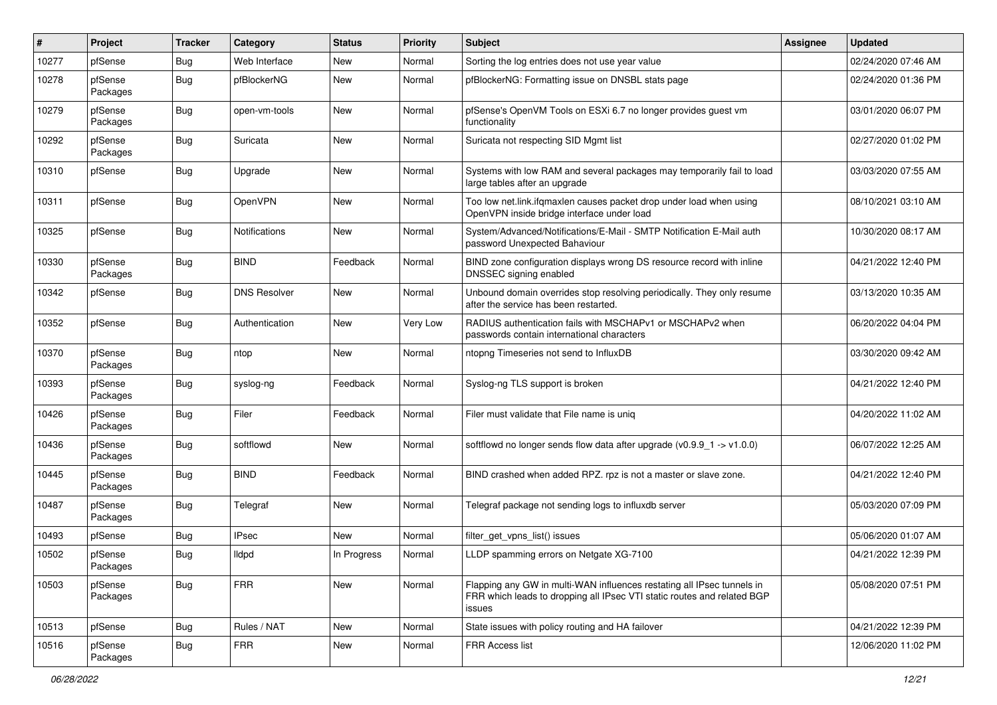| $\vert$ # | Project             | <b>Tracker</b> | Category             | <b>Status</b> | <b>Priority</b> | <b>Subject</b>                                                                                                                                              | <b>Assignee</b> | <b>Updated</b>      |
|-----------|---------------------|----------------|----------------------|---------------|-----------------|-------------------------------------------------------------------------------------------------------------------------------------------------------------|-----------------|---------------------|
| 10277     | pfSense             | <b>Bug</b>     | Web Interface        | <b>New</b>    | Normal          | Sorting the log entries does not use year value                                                                                                             |                 | 02/24/2020 07:46 AM |
| 10278     | pfSense<br>Packages | <b>Bug</b>     | pfBlockerNG          | New           | Normal          | pfBlockerNG: Formatting issue on DNSBL stats page                                                                                                           |                 | 02/24/2020 01:36 PM |
| 10279     | pfSense<br>Packages | Bug            | open-vm-tools        | New           | Normal          | pfSense's OpenVM Tools on ESXi 6.7 no longer provides guest vm<br>functionality                                                                             |                 | 03/01/2020 06:07 PM |
| 10292     | pfSense<br>Packages | <b>Bug</b>     | Suricata             | New           | Normal          | Suricata not respecting SID Mgmt list                                                                                                                       |                 | 02/27/2020 01:02 PM |
| 10310     | pfSense             | <b>Bug</b>     | Upgrade              | New           | Normal          | Systems with low RAM and several packages may temporarily fail to load<br>large tables after an upgrade                                                     |                 | 03/03/2020 07:55 AM |
| 10311     | pfSense             | Bug            | OpenVPN              | New           | Normal          | Too low net.link.ifqmaxlen causes packet drop under load when using<br>OpenVPN inside bridge interface under load                                           |                 | 08/10/2021 03:10 AM |
| 10325     | pfSense             | <b>Bug</b>     | <b>Notifications</b> | New           | Normal          | System/Advanced/Notifications/E-Mail - SMTP Notification E-Mail auth<br>password Unexpected Bahaviour                                                       |                 | 10/30/2020 08:17 AM |
| 10330     | pfSense<br>Packages | Bug            | <b>BIND</b>          | Feedback      | Normal          | BIND zone configuration displays wrong DS resource record with inline<br>DNSSEC signing enabled                                                             |                 | 04/21/2022 12:40 PM |
| 10342     | pfSense             | <b>Bug</b>     | <b>DNS Resolver</b>  | New           | Normal          | Unbound domain overrides stop resolving periodically. They only resume<br>after the service has been restarted.                                             |                 | 03/13/2020 10:35 AM |
| 10352     | pfSense             | Bug            | Authentication       | <b>New</b>    | Very Low        | RADIUS authentication fails with MSCHAPv1 or MSCHAPv2 when<br>passwords contain international characters                                                    |                 | 06/20/2022 04:04 PM |
| 10370     | pfSense<br>Packages | <b>Bug</b>     | ntop                 | New           | Normal          | ntopng Timeseries not send to InfluxDB                                                                                                                      |                 | 03/30/2020 09:42 AM |
| 10393     | pfSense<br>Packages | <b>Bug</b>     | syslog-ng            | Feedback      | Normal          | Syslog-ng TLS support is broken                                                                                                                             |                 | 04/21/2022 12:40 PM |
| 10426     | pfSense<br>Packages | Bug            | Filer                | Feedback      | Normal          | Filer must validate that File name is uniq                                                                                                                  |                 | 04/20/2022 11:02 AM |
| 10436     | pfSense<br>Packages | <b>Bug</b>     | softflowd            | New           | Normal          | softflowd no longer sends flow data after upgrade $(v0.9.9 - 1 - v1.0.0)$                                                                                   |                 | 06/07/2022 12:25 AM |
| 10445     | pfSense<br>Packages | Bug            | <b>BIND</b>          | Feedback      | Normal          | BIND crashed when added RPZ. rpz is not a master or slave zone.                                                                                             |                 | 04/21/2022 12:40 PM |
| 10487     | pfSense<br>Packages | <b>Bug</b>     | Telegraf             | New           | Normal          | Telegraf package not sending logs to influxdb server                                                                                                        |                 | 05/03/2020 07:09 PM |
| 10493     | pfSense             | <b>Bug</b>     | <b>IPsec</b>         | <b>New</b>    | Normal          | filter_get_vpns_list() issues                                                                                                                               |                 | 05/06/2020 01:07 AM |
| 10502     | pfSense<br>Packages | Bug            | lldpd                | In Progress   | Normal          | LLDP spamming errors on Netgate XG-7100                                                                                                                     |                 | 04/21/2022 12:39 PM |
| 10503     | pfSense<br>Packages | Bug            | <b>FRR</b>           | New           | Normal          | Flapping any GW in multi-WAN influences restating all IPsec tunnels in<br>FRR which leads to dropping all IPsec VTI static routes and related BGP<br>issues |                 | 05/08/2020 07:51 PM |
| 10513     | pfSense             | Bug            | Rules / NAT          | New           | Normal          | State issues with policy routing and HA failover                                                                                                            |                 | 04/21/2022 12:39 PM |
| 10516     | pfSense<br>Packages | <b>Bug</b>     | <b>FRR</b>           | New           | Normal          | FRR Access list                                                                                                                                             |                 | 12/06/2020 11:02 PM |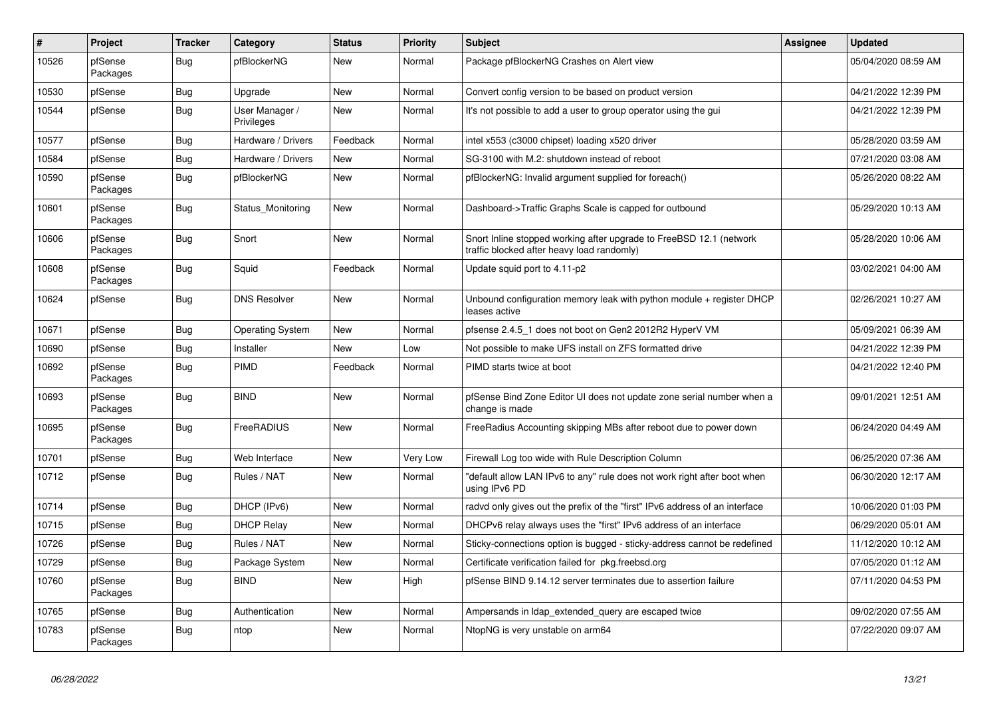| $\sharp$ | Project             | <b>Tracker</b> | Category                     | <b>Status</b> | Priority        | <b>Subject</b>                                                                                                    | <b>Assignee</b> | <b>Updated</b>      |
|----------|---------------------|----------------|------------------------------|---------------|-----------------|-------------------------------------------------------------------------------------------------------------------|-----------------|---------------------|
| 10526    | pfSense<br>Packages | Bug            | pfBlockerNG                  | New           | Normal          | Package pfBlockerNG Crashes on Alert view                                                                         |                 | 05/04/2020 08:59 AM |
| 10530    | pfSense             | Bug            | Upgrade                      | <b>New</b>    | Normal          | Convert config version to be based on product version                                                             |                 | 04/21/2022 12:39 PM |
| 10544    | pfSense             | Bug            | User Manager /<br>Privileges | New           | Normal          | It's not possible to add a user to group operator using the gui                                                   |                 | 04/21/2022 12:39 PM |
| 10577    | pfSense             | Bug            | Hardware / Drivers           | Feedback      | Normal          | intel x553 (c3000 chipset) loading x520 driver                                                                    |                 | 05/28/2020 03:59 AM |
| 10584    | pfSense             | Bug            | Hardware / Drivers           | <b>New</b>    | Normal          | SG-3100 with M.2: shutdown instead of reboot                                                                      |                 | 07/21/2020 03:08 AM |
| 10590    | pfSense<br>Packages | Bug            | pfBlockerNG                  | <b>New</b>    | Normal          | pfBlockerNG: Invalid argument supplied for foreach()                                                              |                 | 05/26/2020 08:22 AM |
| 10601    | pfSense<br>Packages | Bug            | Status Monitoring            | New           | Normal          | Dashboard->Traffic Graphs Scale is capped for outbound                                                            |                 | 05/29/2020 10:13 AM |
| 10606    | pfSense<br>Packages | <b>Bug</b>     | Snort                        | New           | Normal          | Snort Inline stopped working after upgrade to FreeBSD 12.1 (network<br>traffic blocked after heavy load randomly) |                 | 05/28/2020 10:06 AM |
| 10608    | pfSense<br>Packages | Bug            | Squid                        | Feedback      | Normal          | Update squid port to 4.11-p2                                                                                      |                 | 03/02/2021 04:00 AM |
| 10624    | pfSense             | Bug            | <b>DNS Resolver</b>          | New           | Normal          | Unbound configuration memory leak with python module $+$ register DHCP<br>leases active                           |                 | 02/26/2021 10:27 AM |
| 10671    | pfSense             | Bug            | <b>Operating System</b>      | New           | Normal          | pfsense 2.4.5 1 does not boot on Gen2 2012R2 HyperV VM                                                            |                 | 05/09/2021 06:39 AM |
| 10690    | pfSense             | Bug            | Installer                    | New           | Low             | Not possible to make UFS install on ZFS formatted drive                                                           |                 | 04/21/2022 12:39 PM |
| 10692    | pfSense<br>Packages | Bug            | PIMD                         | Feedback      | Normal          | PIMD starts twice at boot                                                                                         |                 | 04/21/2022 12:40 PM |
| 10693    | pfSense<br>Packages | Bug            | <b>BIND</b>                  | <b>New</b>    | Normal          | pfSense Bind Zone Editor UI does not update zone serial number when a<br>change is made                           |                 | 09/01/2021 12:51 AM |
| 10695    | pfSense<br>Packages | Bug            | FreeRADIUS                   | New           | Normal          | Free Radius Accounting skipping MBs after reboot due to power down                                                |                 | 06/24/2020 04:49 AM |
| 10701    | pfSense             | Bug            | Web Interface                | New           | <b>Very Low</b> | Firewall Log too wide with Rule Description Column                                                                |                 | 06/25/2020 07:36 AM |
| 10712    | pfSense             | Bug            | Rules / NAT                  | New           | Normal          | 'default allow LAN IPv6 to any" rule does not work right after boot when<br>using IPv6 PD                         |                 | 06/30/2020 12:17 AM |
| 10714    | pfSense             | Bug            | DHCP (IPv6)                  | <b>New</b>    | Normal          | radyd only gives out the prefix of the "first" IPv6 address of an interface                                       |                 | 10/06/2020 01:03 PM |
| 10715    | pfSense             | <b>Bug</b>     | <b>DHCP Relay</b>            | <b>New</b>    | Normal          | DHCPv6 relay always uses the "first" IPv6 address of an interface                                                 |                 | 06/29/2020 05:01 AM |
| 10726    | pfSense             | <b>Bug</b>     | Rules / NAT                  | <b>New</b>    | Normal          | Sticky-connections option is bugged - sticky-address cannot be redefined                                          |                 | 11/12/2020 10:12 AM |
| 10729    | pfSense             | Bug            | Package System               | New           | Normal          | Certificate verification failed for pkg.freebsd.org                                                               |                 | 07/05/2020 01:12 AM |
| 10760    | pfSense<br>Packages | <b>Bug</b>     | <b>BIND</b>                  | <b>New</b>    | High            | pfSense BIND 9.14.12 server terminates due to assertion failure                                                   |                 | 07/11/2020 04:53 PM |
| 10765    | pfSense             | Bug            | Authentication               | New           | Normal          | Ampersands in Idap extended query are escaped twice                                                               |                 | 09/02/2020 07:55 AM |
| 10783    | pfSense<br>Packages | Bug            | ntop                         | New           | Normal          | NtopNG is very unstable on arm64                                                                                  |                 | 07/22/2020 09:07 AM |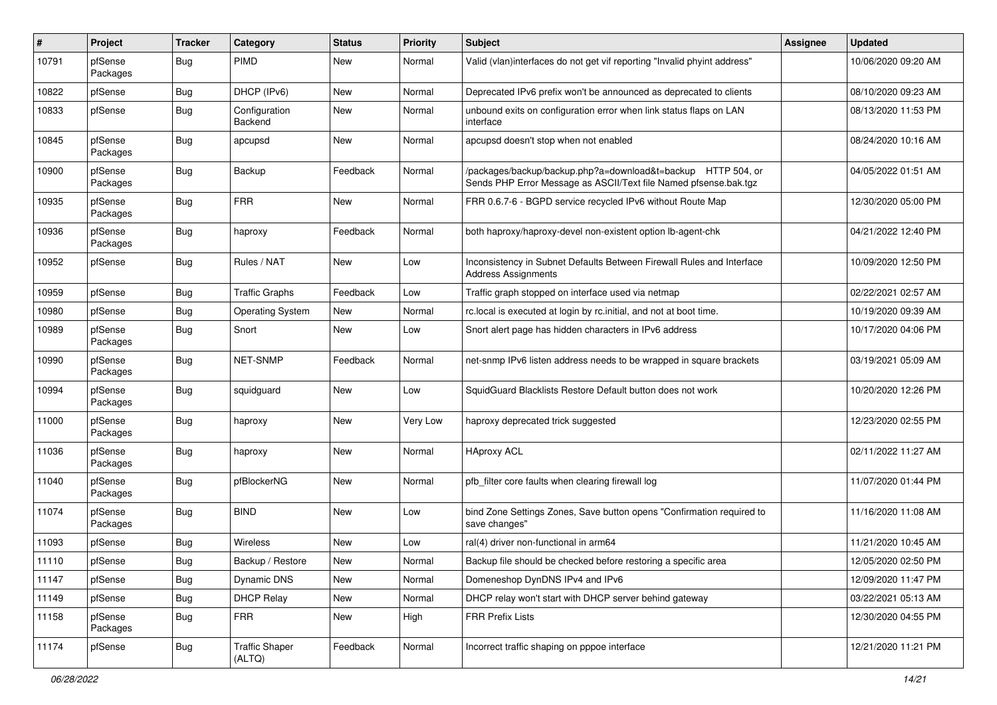| #     | Project             | <b>Tracker</b> | Category                        | <b>Status</b> | <b>Priority</b> | Subject                                                                                                                          | Assignee | <b>Updated</b>      |
|-------|---------------------|----------------|---------------------------------|---------------|-----------------|----------------------------------------------------------------------------------------------------------------------------------|----------|---------------------|
| 10791 | pfSense<br>Packages | Bug            | <b>PIMD</b>                     | New           | Normal          | Valid (vlan)interfaces do not get vif reporting "Invalid phyint address"                                                         |          | 10/06/2020 09:20 AM |
| 10822 | pfSense             | Bug            | DHCP (IPv6)                     | New           | Normal          | Deprecated IPv6 prefix won't be announced as deprecated to clients                                                               |          | 08/10/2020 09:23 AM |
| 10833 | pfSense             | <b>Bug</b>     | Configuration<br>Backend        | New           | Normal          | unbound exits on configuration error when link status flaps on LAN<br>interface                                                  |          | 08/13/2020 11:53 PM |
| 10845 | pfSense<br>Packages | Bug            | apcupsd                         | <b>New</b>    | Normal          | apcupsd doesn't stop when not enabled                                                                                            |          | 08/24/2020 10:16 AM |
| 10900 | pfSense<br>Packages | <b>Bug</b>     | Backup                          | Feedback      | Normal          | /packages/backup/backup.php?a=download&t=backup HTTP 504, or<br>Sends PHP Error Message as ASCII/Text file Named pfsense.bak.tgz |          | 04/05/2022 01:51 AM |
| 10935 | pfSense<br>Packages | Bug            | <b>FRR</b>                      | New           | Normal          | FRR 0.6.7-6 - BGPD service recycled IPv6 without Route Map                                                                       |          | 12/30/2020 05:00 PM |
| 10936 | pfSense<br>Packages | Bug            | haproxy                         | Feedback      | Normal          | both haproxy/haproxy-devel non-existent option lb-agent-chk                                                                      |          | 04/21/2022 12:40 PM |
| 10952 | pfSense             | Bug            | Rules / NAT                     | <b>New</b>    | Low             | Inconsistency in Subnet Defaults Between Firewall Rules and Interface<br><b>Address Assignments</b>                              |          | 10/09/2020 12:50 PM |
| 10959 | pfSense             | Bug            | <b>Traffic Graphs</b>           | Feedback      | Low             | Traffic graph stopped on interface used via netmap                                                                               |          | 02/22/2021 02:57 AM |
| 10980 | pfSense             | <b>Bug</b>     | <b>Operating System</b>         | New           | Normal          | rc.local is executed at login by rc.initial, and not at boot time.                                                               |          | 10/19/2020 09:39 AM |
| 10989 | pfSense<br>Packages | Bug            | Snort                           | New           | Low             | Snort alert page has hidden characters in IPv6 address                                                                           |          | 10/17/2020 04:06 PM |
| 10990 | pfSense<br>Packages | Bug            | <b>NET-SNMP</b>                 | Feedback      | Normal          | net-snmp IPv6 listen address needs to be wrapped in square brackets                                                              |          | 03/19/2021 05:09 AM |
| 10994 | pfSense<br>Packages | <b>Bug</b>     | squidguard                      | New           | Low             | SquidGuard Blacklists Restore Default button does not work                                                                       |          | 10/20/2020 12:26 PM |
| 11000 | pfSense<br>Packages | Bug            | haproxy                         | <b>New</b>    | Very Low        | haproxy deprecated trick suggested                                                                                               |          | 12/23/2020 02:55 PM |
| 11036 | pfSense<br>Packages | <b>Bug</b>     | haproxy                         | New           | Normal          | <b>HAproxy ACL</b>                                                                                                               |          | 02/11/2022 11:27 AM |
| 11040 | pfSense<br>Packages | Bug            | pfBlockerNG                     | <b>New</b>    | Normal          | pfb_filter core faults when clearing firewall log                                                                                |          | 11/07/2020 01:44 PM |
| 11074 | pfSense<br>Packages | <b>Bug</b>     | <b>BIND</b>                     | <b>New</b>    | Low             | bind Zone Settings Zones, Save button opens "Confirmation required to<br>save changes"                                           |          | 11/16/2020 11:08 AM |
| 11093 | pfSense             | Bug            | <b>Wireless</b>                 | New           | Low             | ral(4) driver non-functional in arm64                                                                                            |          | 11/21/2020 10:45 AM |
| 11110 | pfSense             | Bug            | Backup / Restore                | New           | Normal          | Backup file should be checked before restoring a specific area                                                                   |          | 12/05/2020 02:50 PM |
| 11147 | pfSense             | <b>Bug</b>     | Dynamic DNS                     | New           | Normal          | Domeneshop DynDNS IPv4 and IPv6                                                                                                  |          | 12/09/2020 11:47 PM |
| 11149 | pfSense             | <b>Bug</b>     | <b>DHCP Relay</b>               | New           | Normal          | DHCP relay won't start with DHCP server behind gateway                                                                           |          | 03/22/2021 05:13 AM |
| 11158 | pfSense<br>Packages | <b>Bug</b>     | <b>FRR</b>                      | New           | High            | <b>FRR Prefix Lists</b>                                                                                                          |          | 12/30/2020 04:55 PM |
| 11174 | pfSense             | Bug            | <b>Traffic Shaper</b><br>(ALTQ) | Feedback      | Normal          | Incorrect traffic shaping on pppoe interface                                                                                     |          | 12/21/2020 11:21 PM |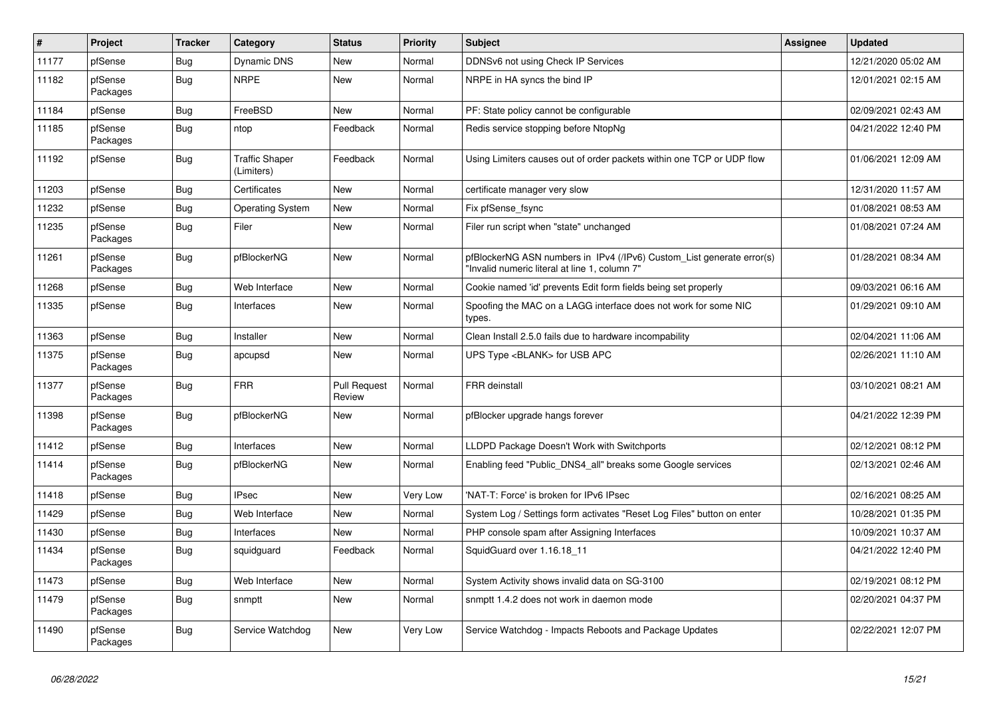| $\vert$ # | Project             | <b>Tracker</b> | Category                            | <b>Status</b>                 | Priority | <b>Subject</b>                                                                                                         | <b>Assignee</b> | <b>Updated</b>      |
|-----------|---------------------|----------------|-------------------------------------|-------------------------------|----------|------------------------------------------------------------------------------------------------------------------------|-----------------|---------------------|
| 11177     | pfSense             | Bug            | <b>Dynamic DNS</b>                  | <b>New</b>                    | Normal   | DDNSv6 not using Check IP Services                                                                                     |                 | 12/21/2020 05:02 AM |
| 11182     | pfSense<br>Packages | <b>Bug</b>     | <b>NRPE</b>                         | <b>New</b>                    | Normal   | NRPE in HA syncs the bind IP                                                                                           |                 | 12/01/2021 02:15 AM |
| 11184     | pfSense             | <b>Bug</b>     | FreeBSD                             | <b>New</b>                    | Normal   | PF: State policy cannot be configurable                                                                                |                 | 02/09/2021 02:43 AM |
| 11185     | pfSense<br>Packages | <b>Bug</b>     | ntop                                | Feedback                      | Normal   | Redis service stopping before NtopNg                                                                                   |                 | 04/21/2022 12:40 PM |
| 11192     | pfSense             | Bug            | <b>Traffic Shaper</b><br>(Limiters) | Feedback                      | Normal   | Using Limiters causes out of order packets within one TCP or UDP flow                                                  |                 | 01/06/2021 12:09 AM |
| 11203     | pfSense             | Bug            | Certificates                        | <b>New</b>                    | Normal   | certificate manager very slow                                                                                          |                 | 12/31/2020 11:57 AM |
| 11232     | pfSense             | <b>Bug</b>     | <b>Operating System</b>             | <b>New</b>                    | Normal   | Fix pfSense_fsync                                                                                                      |                 | 01/08/2021 08:53 AM |
| 11235     | pfSense<br>Packages | <b>Bug</b>     | Filer                               | <b>New</b>                    | Normal   | Filer run script when "state" unchanged                                                                                |                 | 01/08/2021 07:24 AM |
| 11261     | pfSense<br>Packages | Bug            | pfBlockerNG                         | <b>New</b>                    | Normal   | pfBlockerNG ASN numbers in IPv4 (/IPv6) Custom List generate error(s)<br>"Invalid numeric literal at line 1, column 7" |                 | 01/28/2021 08:34 AM |
| 11268     | pfSense             | Bug            | Web Interface                       | <b>New</b>                    | Normal   | Cookie named 'id' prevents Edit form fields being set properly                                                         |                 | 09/03/2021 06:16 AM |
| 11335     | pfSense             | Bug            | Interfaces                          | <b>New</b>                    | Normal   | Spoofing the MAC on a LAGG interface does not work for some NIC<br>types.                                              |                 | 01/29/2021 09:10 AM |
| 11363     | pfSense             | Bug            | Installer                           | <b>New</b>                    | Normal   | Clean Install 2.5.0 fails due to hardware incompability                                                                |                 | 02/04/2021 11:06 AM |
| 11375     | pfSense<br>Packages | <b>Bug</b>     | apcupsd                             | New                           | Normal   | UPS Type <blank> for USB APC</blank>                                                                                   |                 | 02/26/2021 11:10 AM |
| 11377     | pfSense<br>Packages | Bug            | <b>FRR</b>                          | <b>Pull Request</b><br>Review | Normal   | FRR deinstall                                                                                                          |                 | 03/10/2021 08:21 AM |
| 11398     | pfSense<br>Packages | <b>Bug</b>     | pfBlockerNG                         | <b>New</b>                    | Normal   | pfBlocker upgrade hangs forever                                                                                        |                 | 04/21/2022 12:39 PM |
| 11412     | pfSense             | Bug            | Interfaces                          | <b>New</b>                    | Normal   | LLDPD Package Doesn't Work with Switchports                                                                            |                 | 02/12/2021 08:12 PM |
| 11414     | pfSense<br>Packages | <b>Bug</b>     | pfBlockerNG                         | <b>New</b>                    | Normal   | Enabling feed "Public_DNS4_all" breaks some Google services                                                            |                 | 02/13/2021 02:46 AM |
| 11418     | pfSense             | <b>Bug</b>     | <b>IPsec</b>                        | <b>New</b>                    | Very Low | 'NAT-T: Force' is broken for IPv6 IPsec                                                                                |                 | 02/16/2021 08:25 AM |
| 11429     | pfSense             | Bug            | Web Interface                       | <b>New</b>                    | Normal   | System Log / Settings form activates "Reset Log Files" button on enter                                                 |                 | 10/28/2021 01:35 PM |
| 11430     | pfSense             | <b>Bug</b>     | Interfaces                          | <b>New</b>                    | Normal   | PHP console spam after Assigning Interfaces                                                                            |                 | 10/09/2021 10:37 AM |
| 11434     | pfSense<br>Packages | <b>Bug</b>     | squidguard                          | Feedback                      | Normal   | SquidGuard over 1.16.18 11                                                                                             |                 | 04/21/2022 12:40 PM |
| 11473     | pfSense             | <b>Bug</b>     | Web Interface                       | <b>New</b>                    | Normal   | System Activity shows invalid data on SG-3100                                                                          |                 | 02/19/2021 08:12 PM |
| 11479     | pfSense<br>Packages | <b>Bug</b>     | snmptt                              | <b>New</b>                    | Normal   | snmptt 1.4.2 does not work in daemon mode                                                                              |                 | 02/20/2021 04:37 PM |
| 11490     | pfSense<br>Packages | <b>Bug</b>     | Service Watchdog                    | <b>New</b>                    | Very Low | Service Watchdog - Impacts Reboots and Package Updates                                                                 |                 | 02/22/2021 12:07 PM |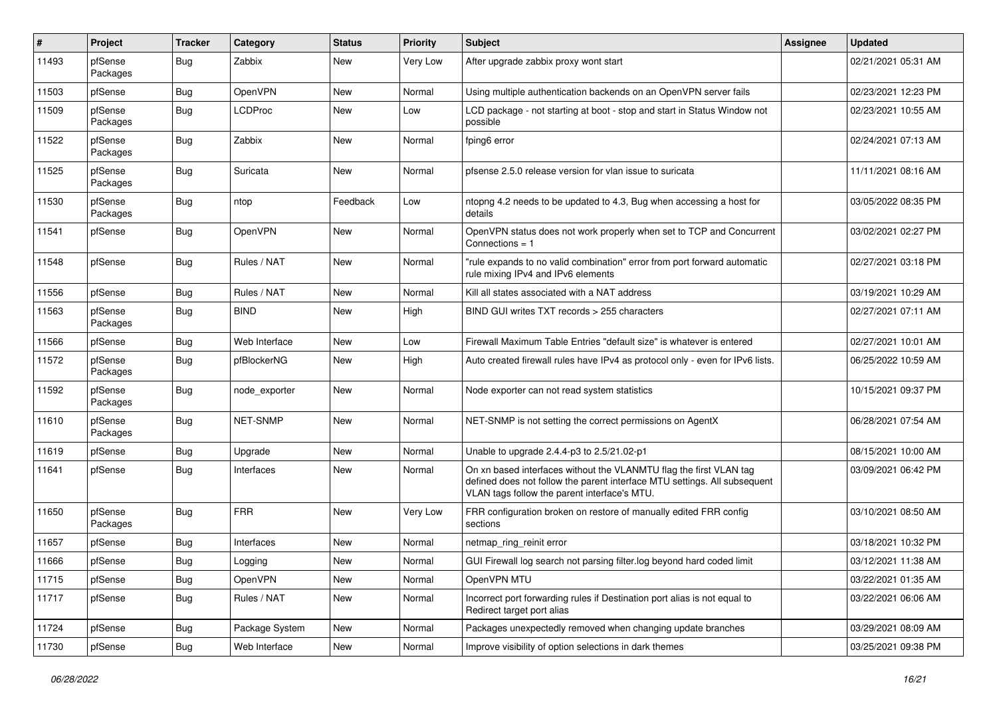| #     | Project             | <b>Tracker</b>   | Category       | <b>Status</b> | <b>Priority</b> | <b>Subject</b>                                                                                                                                                                                  | <b>Assignee</b> | <b>Updated</b>      |
|-------|---------------------|------------------|----------------|---------------|-----------------|-------------------------------------------------------------------------------------------------------------------------------------------------------------------------------------------------|-----------------|---------------------|
| 11493 | pfSense<br>Packages | Bug              | Zabbix         | New           | Very Low        | After upgrade zabbix proxy wont start                                                                                                                                                           |                 | 02/21/2021 05:31 AM |
| 11503 | pfSense             | <b>Bug</b>       | OpenVPN        | New           | Normal          | Using multiple authentication backends on an OpenVPN server fails                                                                                                                               |                 | 02/23/2021 12:23 PM |
| 11509 | pfSense<br>Packages | Bug              | <b>LCDProc</b> | New           | Low             | LCD package - not starting at boot - stop and start in Status Window not<br>possible                                                                                                            |                 | 02/23/2021 10:55 AM |
| 11522 | pfSense<br>Packages | Bug              | Zabbix         | <b>New</b>    | Normal          | fping6 error                                                                                                                                                                                    |                 | 02/24/2021 07:13 AM |
| 11525 | pfSense<br>Packages | Bug              | Suricata       | <b>New</b>    | Normal          | pfsense 2.5.0 release version for vlan issue to suricata                                                                                                                                        |                 | 11/11/2021 08:16 AM |
| 11530 | pfSense<br>Packages | Bug              | ntop           | Feedback      | Low             | ntopng 4.2 needs to be updated to 4.3, Bug when accessing a host for<br>details                                                                                                                 |                 | 03/05/2022 08:35 PM |
| 11541 | pfSense             | Bug              | OpenVPN        | New           | Normal          | OpenVPN status does not work properly when set to TCP and Concurrent<br>Connections $= 1$                                                                                                       |                 | 03/02/2021 02:27 PM |
| 11548 | pfSense             | Bug              | Rules / NAT    | <b>New</b>    | Normal          | "rule expands to no valid combination" error from port forward automatic<br>rule mixing IPv4 and IPv6 elements                                                                                  |                 | 02/27/2021 03:18 PM |
| 11556 | pfSense             | Bug              | Rules / NAT    | New           | Normal          | Kill all states associated with a NAT address                                                                                                                                                   |                 | 03/19/2021 10:29 AM |
| 11563 | pfSense<br>Packages | Bug              | <b>BIND</b>    | New           | High            | BIND GUI writes TXT records > 255 characters                                                                                                                                                    |                 | 02/27/2021 07:11 AM |
| 11566 | pfSense             | Bug              | Web Interface  | <b>New</b>    | Low             | Firewall Maximum Table Entries "default size" is whatever is entered                                                                                                                            |                 | 02/27/2021 10:01 AM |
| 11572 | pfSense<br>Packages | Bug              | pfBlockerNG    | New           | High            | Auto created firewall rules have IPv4 as protocol only - even for IPv6 lists.                                                                                                                   |                 | 06/25/2022 10:59 AM |
| 11592 | pfSense<br>Packages | <b>Bug</b>       | node exporter  | <b>New</b>    | Normal          | Node exporter can not read system statistics                                                                                                                                                    |                 | 10/15/2021 09:37 PM |
| 11610 | pfSense<br>Packages | <b>Bug</b>       | NET-SNMP       | <b>New</b>    | Normal          | NET-SNMP is not setting the correct permissions on AgentX                                                                                                                                       |                 | 06/28/2021 07:54 AM |
| 11619 | pfSense             | Bug              | Upgrade        | <b>New</b>    | Normal          | Unable to upgrade 2.4.4-p3 to 2.5/21.02-p1                                                                                                                                                      |                 | 08/15/2021 10:00 AM |
| 11641 | pfSense             | Bug              | Interfaces     | <b>New</b>    | Normal          | On xn based interfaces without the VLANMTU flag the first VLAN tag<br>defined does not follow the parent interface MTU settings. All subsequent<br>VLAN tags follow the parent interface's MTU. |                 | 03/09/2021 06:42 PM |
| 11650 | pfSense<br>Packages | Bug              | <b>FRR</b>     | <b>New</b>    | Very Low        | FRR configuration broken on restore of manually edited FRR config<br>sections                                                                                                                   |                 | 03/10/2021 08:50 AM |
| 11657 | pfSense             | Bug              | Interfaces     | New           | Normal          | netmap_ring_reinit error                                                                                                                                                                        |                 | 03/18/2021 10:32 PM |
| 11666 | pfSense             | <sub>I</sub> Bug | Logging        | New           | Normal          | GUI Firewall log search not parsing filter.log beyond hard coded limit                                                                                                                          |                 | 03/12/2021 11:38 AM |
| 11715 | pfSense             | <b>Bug</b>       | OpenVPN        | New           | Normal          | OpenVPN MTU                                                                                                                                                                                     |                 | 03/22/2021 01:35 AM |
| 11717 | pfSense             | <b>Bug</b>       | Rules / NAT    | New           | Normal          | Incorrect port forwarding rules if Destination port alias is not equal to<br>Redirect target port alias                                                                                         |                 | 03/22/2021 06:06 AM |
| 11724 | pfSense             | <b>Bug</b>       | Package System | New           | Normal          | Packages unexpectedly removed when changing update branches                                                                                                                                     |                 | 03/29/2021 08:09 AM |
| 11730 | pfSense             | <b>Bug</b>       | Web Interface  | New           | Normal          | Improve visibility of option selections in dark themes                                                                                                                                          |                 | 03/25/2021 09:38 PM |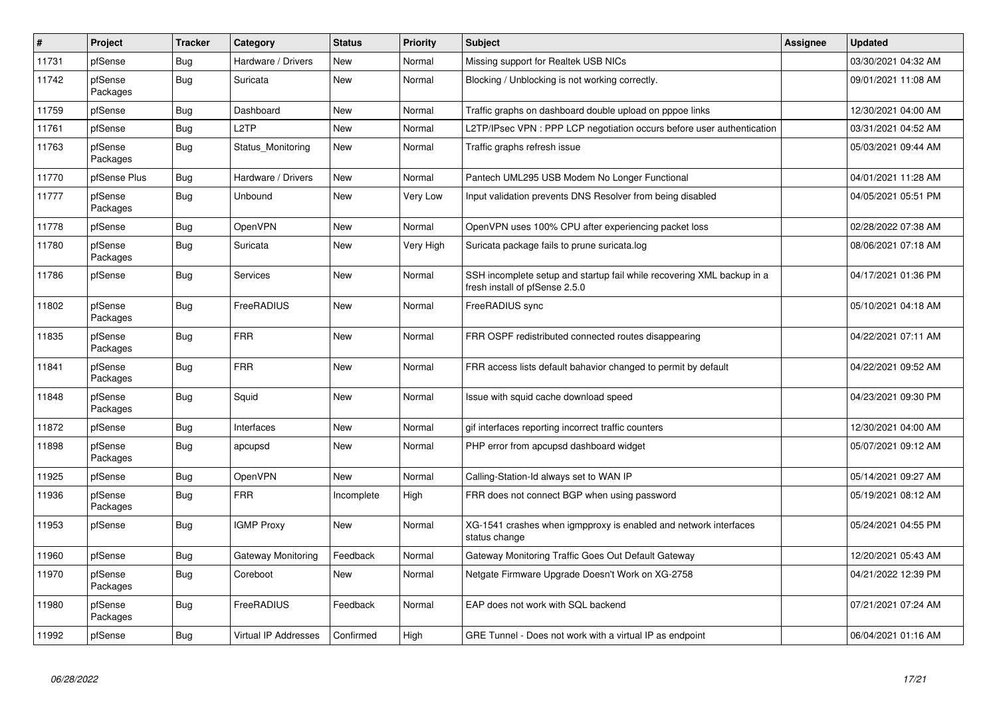| $\vert$ # | Project             | <b>Tracker</b> | Category             | <b>Status</b> | <b>Priority</b> | <b>Subject</b>                                                                                           | <b>Assignee</b> | <b>Updated</b>      |
|-----------|---------------------|----------------|----------------------|---------------|-----------------|----------------------------------------------------------------------------------------------------------|-----------------|---------------------|
| 11731     | pfSense             | Bug            | Hardware / Drivers   | <b>New</b>    | Normal          | Missing support for Realtek USB NICs                                                                     |                 | 03/30/2021 04:32 AM |
| 11742     | pfSense<br>Packages | Bug            | Suricata             | <b>New</b>    | Normal          | Blocking / Unblocking is not working correctly.                                                          |                 | 09/01/2021 11:08 AM |
| 11759     | pfSense             | Bug            | Dashboard            | <b>New</b>    | Normal          | Traffic graphs on dashboard double upload on pppoe links                                                 |                 | 12/30/2021 04:00 AM |
| 11761     | pfSense             | <b>Bug</b>     | L <sub>2</sub> TP    | <b>New</b>    | Normal          | L2TP/IPsec VPN: PPP LCP negotiation occurs before user authentication                                    |                 | 03/31/2021 04:52 AM |
| 11763     | pfSense<br>Packages | <b>Bug</b>     | Status Monitoring    | New           | Normal          | Traffic graphs refresh issue                                                                             |                 | 05/03/2021 09:44 AM |
| 11770     | pfSense Plus        | <b>Bug</b>     | Hardware / Drivers   | <b>New</b>    | Normal          | Pantech UML295 USB Modem No Longer Functional                                                            |                 | 04/01/2021 11:28 AM |
| 11777     | pfSense<br>Packages | <b>Bug</b>     | Unbound              | <b>New</b>    | Very Low        | Input validation prevents DNS Resolver from being disabled                                               |                 | 04/05/2021 05:51 PM |
| 11778     | pfSense             | <b>Bug</b>     | OpenVPN              | <b>New</b>    | Normal          | OpenVPN uses 100% CPU after experiencing packet loss                                                     |                 | 02/28/2022 07:38 AM |
| 11780     | pfSense<br>Packages | Bug            | Suricata             | New           | Very High       | Suricata package fails to prune suricata.log                                                             |                 | 08/06/2021 07:18 AM |
| 11786     | pfSense             | <b>Bug</b>     | Services             | New           | Normal          | SSH incomplete setup and startup fail while recovering XML backup in a<br>fresh install of pfSense 2.5.0 |                 | 04/17/2021 01:36 PM |
| 11802     | pfSense<br>Packages | Bug            | FreeRADIUS           | <b>New</b>    | Normal          | FreeRADIUS sync                                                                                          |                 | 05/10/2021 04:18 AM |
| 11835     | pfSense<br>Packages | Bug            | <b>FRR</b>           | <b>New</b>    | Normal          | FRR OSPF redistributed connected routes disappearing                                                     |                 | 04/22/2021 07:11 AM |
| 11841     | pfSense<br>Packages | Bug            | <b>FRR</b>           | <b>New</b>    | Normal          | FRR access lists default bahavior changed to permit by default                                           |                 | 04/22/2021 09:52 AM |
| 11848     | pfSense<br>Packages | Bug            | Squid                | <b>New</b>    | Normal          | Issue with squid cache download speed                                                                    |                 | 04/23/2021 09:30 PM |
| 11872     | pfSense             | Bug            | Interfaces           | <b>New</b>    | Normal          | gif interfaces reporting incorrect traffic counters                                                      |                 | 12/30/2021 04:00 AM |
| 11898     | pfSense<br>Packages | <b>Bug</b>     | apcupsd              | <b>New</b>    | Normal          | PHP error from apcupsd dashboard widget                                                                  |                 | 05/07/2021 09:12 AM |
| 11925     | pfSense             | <b>Bug</b>     | OpenVPN              | <b>New</b>    | Normal          | Calling-Station-Id always set to WAN IP                                                                  |                 | 05/14/2021 09:27 AM |
| 11936     | pfSense<br>Packages | Bug            | <b>FRR</b>           | Incomplete    | High            | FRR does not connect BGP when using password                                                             |                 | 05/19/2021 08:12 AM |
| 11953     | pfSense             | Bug            | <b>IGMP Proxy</b>    | <b>New</b>    | Normal          | XG-1541 crashes when igmpproxy is enabled and network interfaces<br>status change                        |                 | 05/24/2021 04:55 PM |
| 11960     | pfSense             | Bug            | Gateway Monitoring   | Feedback      | Normal          | Gateway Monitoring Traffic Goes Out Default Gateway                                                      |                 | 12/20/2021 05:43 AM |
| 11970     | pfSense<br>Packages | <b>Bug</b>     | Coreboot             | <b>New</b>    | Normal          | Netgate Firmware Upgrade Doesn't Work on XG-2758                                                         |                 | 04/21/2022 12:39 PM |
| 11980     | pfSense<br>Packages | <b>Bug</b>     | FreeRADIUS           | Feedback      | Normal          | EAP does not work with SQL backend                                                                       |                 | 07/21/2021 07:24 AM |
| 11992     | pfSense             | Bug            | Virtual IP Addresses | Confirmed     | High            | GRE Tunnel - Does not work with a virtual IP as endpoint                                                 |                 | 06/04/2021 01:16 AM |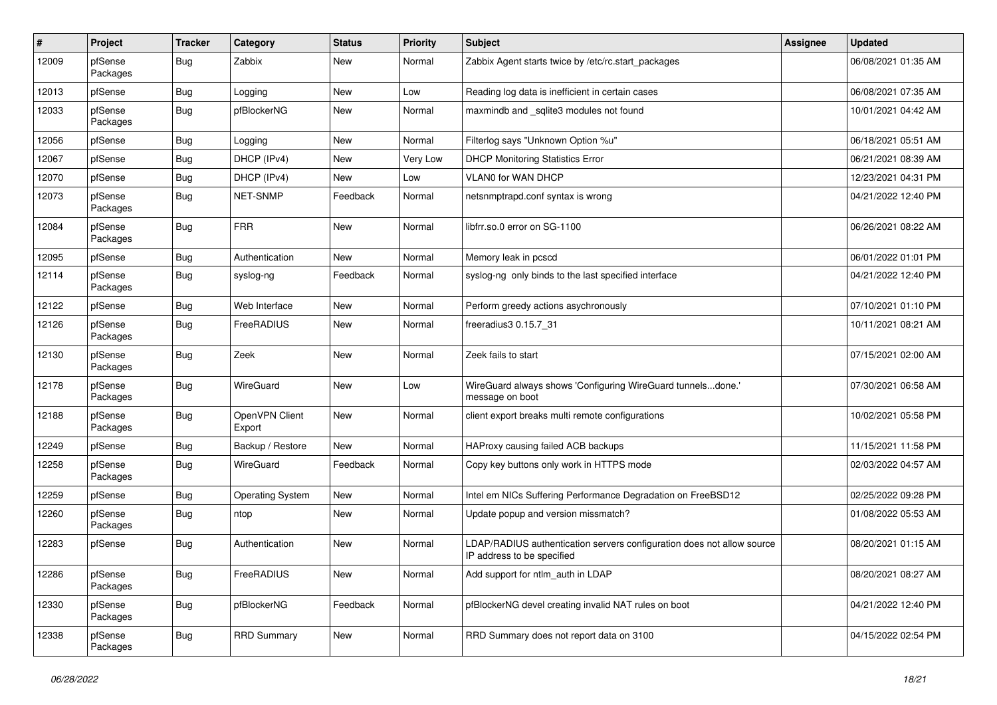| $\vert$ # | Project             | <b>Tracker</b> | Category                 | <b>Status</b> | <b>Priority</b> | <b>Subject</b>                                                                                       | Assignee | <b>Updated</b>      |
|-----------|---------------------|----------------|--------------------------|---------------|-----------------|------------------------------------------------------------------------------------------------------|----------|---------------------|
| 12009     | pfSense<br>Packages | Bug            | Zabbix                   | New           | Normal          | Zabbix Agent starts twice by /etc/rc.start_packages                                                  |          | 06/08/2021 01:35 AM |
| 12013     | pfSense             | Bug            | Logging                  | New           | Low             | Reading log data is inefficient in certain cases                                                     |          | 06/08/2021 07:35 AM |
| 12033     | pfSense<br>Packages | Bug            | pfBlockerNG              | New           | Normal          | maxmindb and _sqlite3 modules not found                                                              |          | 10/01/2021 04:42 AM |
| 12056     | pfSense             | Bug            | Logging                  | New           | Normal          | Filterlog says "Unknown Option %u"                                                                   |          | 06/18/2021 05:51 AM |
| 12067     | pfSense             | Bug            | DHCP (IPv4)              | New           | <b>Very Low</b> | <b>DHCP Monitoring Statistics Error</b>                                                              |          | 06/21/2021 08:39 AM |
| 12070     | pfSense             | Bug            | DHCP (IPv4)              | New           | Low             | VLAN0 for WAN DHCP                                                                                   |          | 12/23/2021 04:31 PM |
| 12073     | pfSense<br>Packages | Bug            | NET-SNMP                 | Feedback      | Normal          | netsnmptrapd.conf syntax is wrong                                                                    |          | 04/21/2022 12:40 PM |
| 12084     | pfSense<br>Packages | <b>Bug</b>     | <b>FRR</b>               | <b>New</b>    | Normal          | libfrr.so.0 error on SG-1100                                                                         |          | 06/26/2021 08:22 AM |
| 12095     | pfSense             | <b>Bug</b>     | Authentication           | <b>New</b>    | Normal          | Memory leak in pcscd                                                                                 |          | 06/01/2022 01:01 PM |
| 12114     | pfSense<br>Packages | Bug            | syslog-ng                | Feedback      | Normal          | syslog-ng only binds to the last specified interface                                                 |          | 04/21/2022 12:40 PM |
| 12122     | pfSense             | Bug            | Web Interface            | New           | Normal          | Perform greedy actions asychronously                                                                 |          | 07/10/2021 01:10 PM |
| 12126     | pfSense<br>Packages | Bug            | FreeRADIUS               | New           | Normal          | freeradius3 0.15.7_31                                                                                |          | 10/11/2021 08:21 AM |
| 12130     | pfSense<br>Packages | <b>Bug</b>     | Zeek                     | <b>New</b>    | Normal          | Zeek fails to start                                                                                  |          | 07/15/2021 02:00 AM |
| 12178     | pfSense<br>Packages | Bug            | WireGuard                | <b>New</b>    | Low             | WireGuard always shows 'Configuring WireGuard tunnelsdone.'<br>message on boot                       |          | 07/30/2021 06:58 AM |
| 12188     | pfSense<br>Packages | <b>Bug</b>     | OpenVPN Client<br>Export | New           | Normal          | client export breaks multi remote configurations                                                     |          | 10/02/2021 05:58 PM |
| 12249     | pfSense             | <b>Bug</b>     | Backup / Restore         | <b>New</b>    | Normal          | HAProxy causing failed ACB backups                                                                   |          | 11/15/2021 11:58 PM |
| 12258     | pfSense<br>Packages | Bug            | WireGuard                | Feedback      | Normal          | Copy key buttons only work in HTTPS mode                                                             |          | 02/03/2022 04:57 AM |
| 12259     | pfSense             | Bug            | <b>Operating System</b>  | <b>New</b>    | Normal          | Intel em NICs Suffering Performance Degradation on FreeBSD12                                         |          | 02/25/2022 09:28 PM |
| 12260     | pfSense<br>Packages | <b>Bug</b>     | ntop                     | New           | Normal          | Update popup and version missmatch?                                                                  |          | 01/08/2022 05:53 AM |
| 12283     | pfSense             | <b>Bug</b>     | Authentication           | New           | Normal          | LDAP/RADIUS authentication servers configuration does not allow source<br>IP address to be specified |          | 08/20/2021 01:15 AM |
| 12286     | pfSense<br>Packages | Bug            | FreeRADIUS               | New           | Normal          | Add support for ntlm auth in LDAP                                                                    |          | 08/20/2021 08:27 AM |
| 12330     | pfSense<br>Packages | Bug            | pfBlockerNG              | Feedback      | Normal          | pfBlockerNG devel creating invalid NAT rules on boot                                                 |          | 04/21/2022 12:40 PM |
| 12338     | pfSense<br>Packages | Bug            | <b>RRD Summary</b>       | New           | Normal          | RRD Summary does not report data on 3100                                                             |          | 04/15/2022 02:54 PM |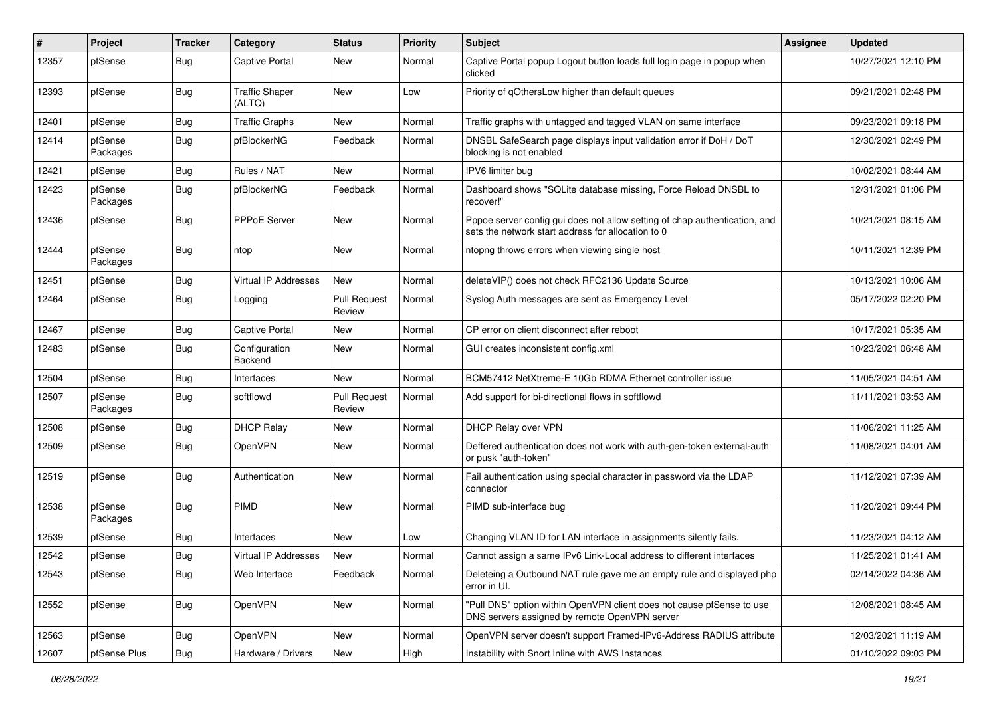| #     | Project             | <b>Tracker</b> | Category                        | <b>Status</b>                 | <b>Priority</b> | Subject                                                                                                                          | Assignee | <b>Updated</b>      |
|-------|---------------------|----------------|---------------------------------|-------------------------------|-----------------|----------------------------------------------------------------------------------------------------------------------------------|----------|---------------------|
| 12357 | pfSense             | Bug            | <b>Captive Portal</b>           | New                           | Normal          | Captive Portal popup Logout button loads full login page in popup when<br>clicked                                                |          | 10/27/2021 12:10 PM |
| 12393 | pfSense             | Bug            | <b>Traffic Shaper</b><br>(ALTQ) | <b>New</b>                    | Low             | Priority of gOthersLow higher than default queues                                                                                |          | 09/21/2021 02:48 PM |
| 12401 | pfSense             | <b>Bug</b>     | <b>Traffic Graphs</b>           | <b>New</b>                    | Normal          | Traffic graphs with untagged and tagged VLAN on same interface                                                                   |          | 09/23/2021 09:18 PM |
| 12414 | pfSense<br>Packages | <b>Bug</b>     | pfBlockerNG                     | Feedback                      | Normal          | DNSBL SafeSearch page displays input validation error if DoH / DoT<br>blocking is not enabled                                    |          | 12/30/2021 02:49 PM |
| 12421 | pfSense             | <b>Bug</b>     | Rules / NAT                     | <b>New</b>                    | Normal          | IPV6 limiter bug                                                                                                                 |          | 10/02/2021 08:44 AM |
| 12423 | pfSense<br>Packages | <b>Bug</b>     | pfBlockerNG                     | Feedback                      | Normal          | Dashboard shows "SQLite database missing, Force Reload DNSBL to<br>recover!"                                                     |          | 12/31/2021 01:06 PM |
| 12436 | pfSense             | <b>Bug</b>     | PPPoE Server                    | <b>New</b>                    | Normal          | Pppoe server config gui does not allow setting of chap authentication, and<br>sets the network start address for allocation to 0 |          | 10/21/2021 08:15 AM |
| 12444 | pfSense<br>Packages | <b>Bug</b>     | ntop                            | <b>New</b>                    | Normal          | ntopng throws errors when viewing single host                                                                                    |          | 10/11/2021 12:39 PM |
| 12451 | pfSense             | Bug            | Virtual IP Addresses            | New                           | Normal          | deleteVIP() does not check RFC2136 Update Source                                                                                 |          | 10/13/2021 10:06 AM |
| 12464 | pfSense             | <b>Bug</b>     | Logging                         | <b>Pull Request</b><br>Review | Normal          | Syslog Auth messages are sent as Emergency Level                                                                                 |          | 05/17/2022 02:20 PM |
| 12467 | pfSense             | Bug            | <b>Captive Portal</b>           | <b>New</b>                    | Normal          | CP error on client disconnect after reboot                                                                                       |          | 10/17/2021 05:35 AM |
| 12483 | pfSense             | <b>Bug</b>     | Configuration<br>Backend        | New                           | Normal          | GUI creates inconsistent config.xml                                                                                              |          | 10/23/2021 06:48 AM |
| 12504 | pfSense             | Bug            | Interfaces                      | <b>New</b>                    | Normal          | BCM57412 NetXtreme-E 10Gb RDMA Ethernet controller issue                                                                         |          | 11/05/2021 04:51 AM |
| 12507 | pfSense<br>Packages | Bug            | softflowd                       | <b>Pull Request</b><br>Review | Normal          | Add support for bi-directional flows in softflowd                                                                                |          | 11/11/2021 03:53 AM |
| 12508 | pfSense             | <b>Bug</b>     | <b>DHCP Relay</b>               | <b>New</b>                    | Normal          | DHCP Relay over VPN                                                                                                              |          | 11/06/2021 11:25 AM |
| 12509 | pfSense             | Bug            | OpenVPN                         | <b>New</b>                    | Normal          | Deffered authentication does not work with auth-gen-token external-auth<br>or pusk "auth-token"                                  |          | 11/08/2021 04:01 AM |
| 12519 | pfSense             | <b>Bug</b>     | Authentication                  | New                           | Normal          | Fail authentication using special character in password via the LDAP<br>connector                                                |          | 11/12/2021 07:39 AM |
| 12538 | pfSense<br>Packages | <b>Bug</b>     | PIMD                            | <b>New</b>                    | Normal          | PIMD sub-interface bug                                                                                                           |          | 11/20/2021 09:44 PM |
| 12539 | pfSense             | Bug            | Interfaces                      | <b>New</b>                    | Low             | Changing VLAN ID for LAN interface in assignments silently fails.                                                                |          | 11/23/2021 04:12 AM |
| 12542 | pfSense             | Bug            | Virtual IP Addresses            | New                           | Normal          | Cannot assign a same IPv6 Link-Local address to different interfaces                                                             |          | 11/25/2021 01:41 AM |
| 12543 | pfSense             | <b>Bug</b>     | Web Interface                   | Feedback                      | Normal          | Deleteing a Outbound NAT rule gave me an empty rule and displayed php<br>error in UI.                                            |          | 02/14/2022 04:36 AM |
| 12552 | pfSense             | <b>Bug</b>     | OpenVPN                         | New                           | Normal          | "Pull DNS" option within OpenVPN client does not cause pfSense to use<br>DNS servers assigned by remote OpenVPN server           |          | 12/08/2021 08:45 AM |
| 12563 | pfSense             | <b>Bug</b>     | OpenVPN                         | New                           | Normal          | OpenVPN server doesn't support Framed-IPv6-Address RADIUS attribute                                                              |          | 12/03/2021 11:19 AM |
| 12607 | pfSense Plus        | <b>Bug</b>     | Hardware / Drivers              | New                           | High            | Instability with Snort Inline with AWS Instances                                                                                 |          | 01/10/2022 09:03 PM |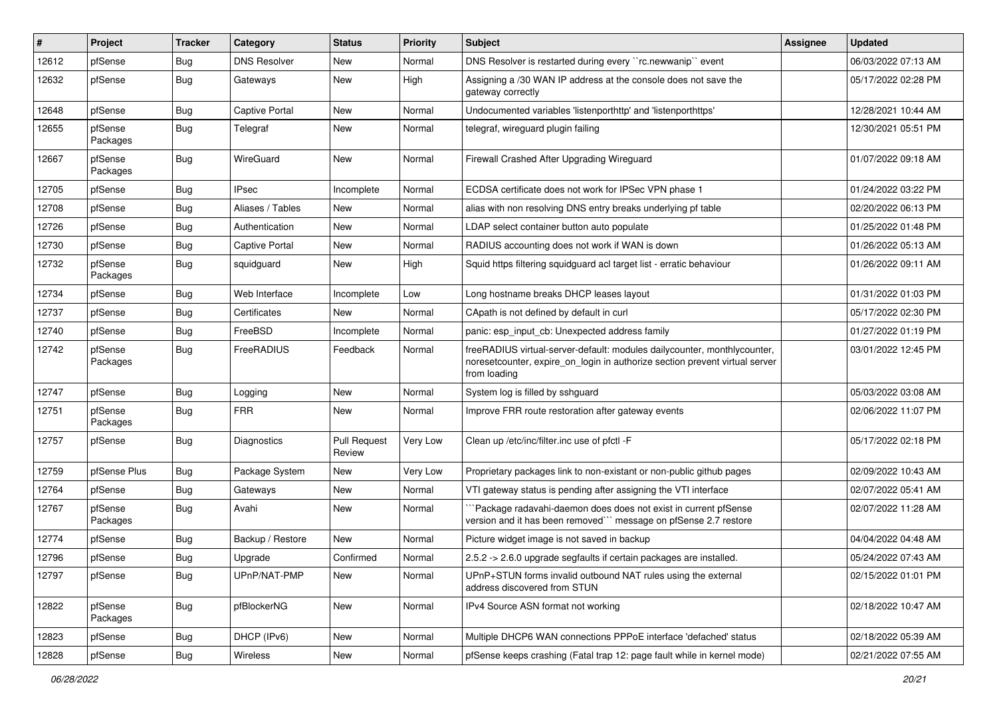| $\vert$ # | Project             | <b>Tracker</b> | Category              | <b>Status</b>                 | <b>Priority</b> | <b>Subject</b>                                                                                                                                                           | <b>Assignee</b> | <b>Updated</b>      |
|-----------|---------------------|----------------|-----------------------|-------------------------------|-----------------|--------------------------------------------------------------------------------------------------------------------------------------------------------------------------|-----------------|---------------------|
| 12612     | pfSense             | <b>Bug</b>     | <b>DNS Resolver</b>   | <b>New</b>                    | Normal          | DNS Resolver is restarted during every "rc.newwanip" event                                                                                                               |                 | 06/03/2022 07:13 AM |
| 12632     | pfSense             | <b>Bug</b>     | Gateways              | New                           | High            | Assigning a /30 WAN IP address at the console does not save the<br>gateway correctly                                                                                     |                 | 05/17/2022 02:28 PM |
| 12648     | pfSense             | <b>Bug</b>     | Captive Portal        | New                           | Normal          | Undocumented variables 'listenporthttp' and 'listenporthttps'                                                                                                            |                 | 12/28/2021 10:44 AM |
| 12655     | pfSense<br>Packages | <b>Bug</b>     | Telegraf              | New                           | Normal          | telegraf, wireguard plugin failing                                                                                                                                       |                 | 12/30/2021 05:51 PM |
| 12667     | pfSense<br>Packages | Bug            | WireGuard             | New                           | Normal          | Firewall Crashed After Upgrading Wireguard                                                                                                                               |                 | 01/07/2022 09:18 AM |
| 12705     | pfSense             | <b>Bug</b>     | <b>IPsec</b>          | Incomplete                    | Normal          | ECDSA certificate does not work for IPSec VPN phase 1                                                                                                                    |                 | 01/24/2022 03:22 PM |
| 12708     | pfSense             | <b>Bug</b>     | Aliases / Tables      | New                           | Normal          | alias with non resolving DNS entry breaks underlying pf table                                                                                                            |                 | 02/20/2022 06:13 PM |
| 12726     | pfSense             | <b>Bug</b>     | Authentication        | New                           | Normal          | LDAP select container button auto populate                                                                                                                               |                 | 01/25/2022 01:48 PM |
| 12730     | pfSense             | <b>Bug</b>     | <b>Captive Portal</b> | New                           | Normal          | RADIUS accounting does not work if WAN is down                                                                                                                           |                 | 01/26/2022 05:13 AM |
| 12732     | pfSense<br>Packages | <b>Bug</b>     | squidguard            | <b>New</b>                    | High            | Squid https filtering squidguard acl target list - erratic behaviour                                                                                                     |                 | 01/26/2022 09:11 AM |
| 12734     | pfSense             | Bug            | Web Interface         | Incomplete                    | Low             | Long hostname breaks DHCP leases layout                                                                                                                                  |                 | 01/31/2022 01:03 PM |
| 12737     | pfSense             | <b>Bug</b>     | Certificates          | New                           | Normal          | CApath is not defined by default in curl                                                                                                                                 |                 | 05/17/2022 02:30 PM |
| 12740     | pfSense             | <b>Bug</b>     | FreeBSD               | Incomplete                    | Normal          | panic: esp input cb: Unexpected address family                                                                                                                           |                 | 01/27/2022 01:19 PM |
| 12742     | pfSense<br>Packages | <b>Bug</b>     | FreeRADIUS            | Feedback                      | Normal          | freeRADIUS virtual-server-default: modules dailycounter, monthlycounter,<br>noreset counter, expire on login in authorize section prevent virtual server<br>from loading |                 | 03/01/2022 12:45 PM |
| 12747     | pfSense             | <b>Bug</b>     | Logging               | New                           | Normal          | System log is filled by sshguard                                                                                                                                         |                 | 05/03/2022 03:08 AM |
| 12751     | pfSense<br>Packages | <b>Bug</b>     | <b>FRR</b>            | New                           | Normal          | Improve FRR route restoration after gateway events                                                                                                                       |                 | 02/06/2022 11:07 PM |
| 12757     | pfSense             | <b>Bug</b>     | Diagnostics           | <b>Pull Request</b><br>Review | Very Low        | Clean up /etc/inc/filter.inc use of pfctl -F                                                                                                                             |                 | 05/17/2022 02:18 PM |
| 12759     | pfSense Plus        | Bug            | Package System        | New                           | <b>Very Low</b> | Proprietary packages link to non-existant or non-public github pages                                                                                                     |                 | 02/09/2022 10:43 AM |
| 12764     | pfSense             | Bug            | Gateways              | New                           | Normal          | VTI gateway status is pending after assigning the VTI interface                                                                                                          |                 | 02/07/2022 05:41 AM |
| 12767     | pfSense<br>Packages | <b>Bug</b>     | Avahi                 | New                           | Normal          | `Package radavahi-daemon does does not exist in current pfSense<br>version and it has been removed" message on pfSense 2.7 restore                                       |                 | 02/07/2022 11:28 AM |
| 12774     | pfSense             | <b>Bug</b>     | Backup / Restore      | New                           | Normal          | Picture widget image is not saved in backup                                                                                                                              |                 | 04/04/2022 04:48 AM |
| 12796     | pfSense             | Bug            | Upgrade               | Confirmed                     | Normal          | 2.5.2 -> 2.6.0 upgrade segfaults if certain packages are installed.                                                                                                      |                 | 05/24/2022 07:43 AM |
| 12797     | pfSense             | <b>Bug</b>     | UPnP/NAT-PMP          | New                           | Normal          | UPnP+STUN forms invalid outbound NAT rules using the external<br>address discovered from STUN                                                                            |                 | 02/15/2022 01:01 PM |
| 12822     | pfSense<br>Packages | <b>Bug</b>     | pfBlockerNG           | New                           | Normal          | IPv4 Source ASN format not working                                                                                                                                       |                 | 02/18/2022 10:47 AM |
| 12823     | pfSense             | Bug            | DHCP (IPv6)           | New                           | Normal          | Multiple DHCP6 WAN connections PPPoE interface 'defached' status                                                                                                         |                 | 02/18/2022 05:39 AM |
| 12828     | pfSense             | Bug            | Wireless              | New                           | Normal          | pfSense keeps crashing (Fatal trap 12: page fault while in kernel mode)                                                                                                  |                 | 02/21/2022 07:55 AM |